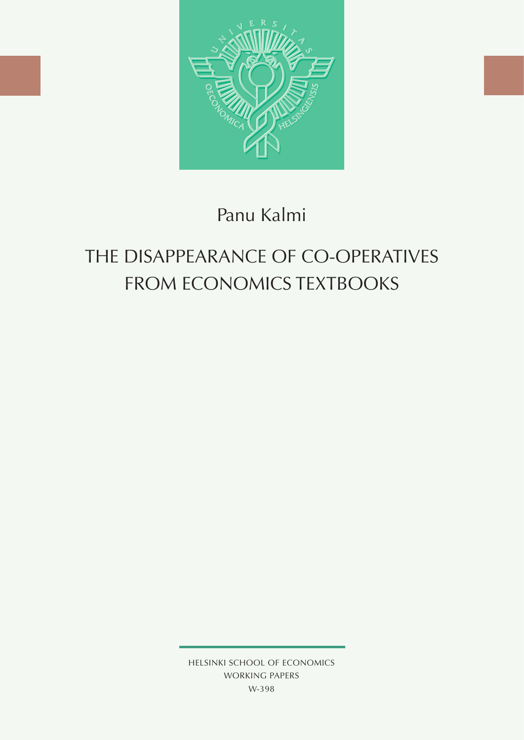

## Panu Kalmi

# The Disappearance of Co-operatives FROM ECONOMICS TEXTBOOKS

HELSINKI SCHOOL OF ECONOMICS WORKING PAPERS W-398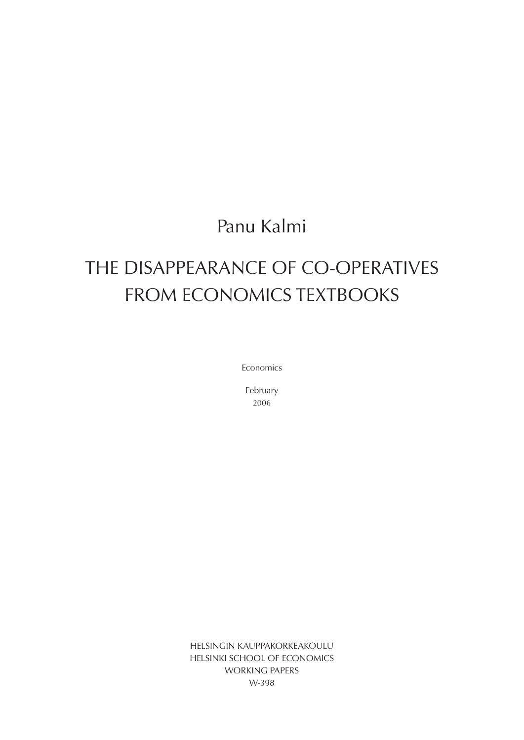## Panu Kalmi

# The Disappearance of Co-operatives FROM ECONOMICS TEXTBOOKS

Economics

February 2006

HELSINGIN KAUPPAKORKEAKOULU HELSINKI SCHOOL OF ECONOMICS WORKING PAPERS W-398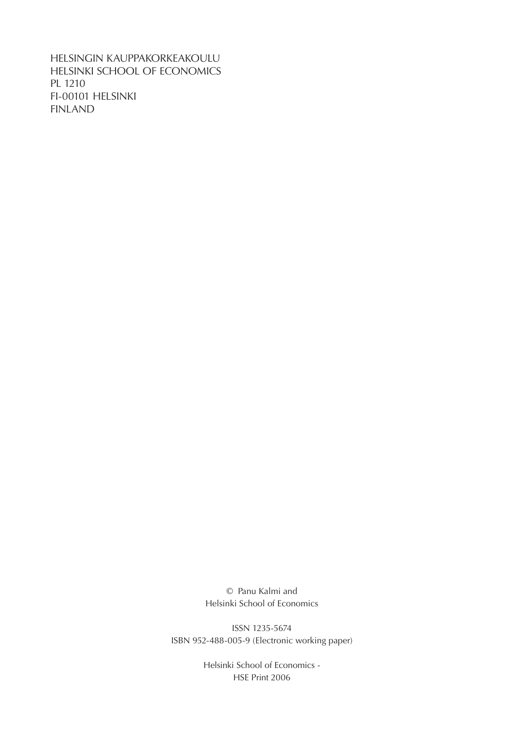HELSINGIN KAUPPAKORKEAKOULU HELSINKI SCHOOL OF ECONOMICS PL 1210 FI-00101 HELSINKI FINLAND

> © Panu Kalmi and Helsinki School of Economics

ISSN 1235-5674 ISBN 952-488-005-9 (Electronic working paper)

> Helsinki School of Economics - HSE Print 2006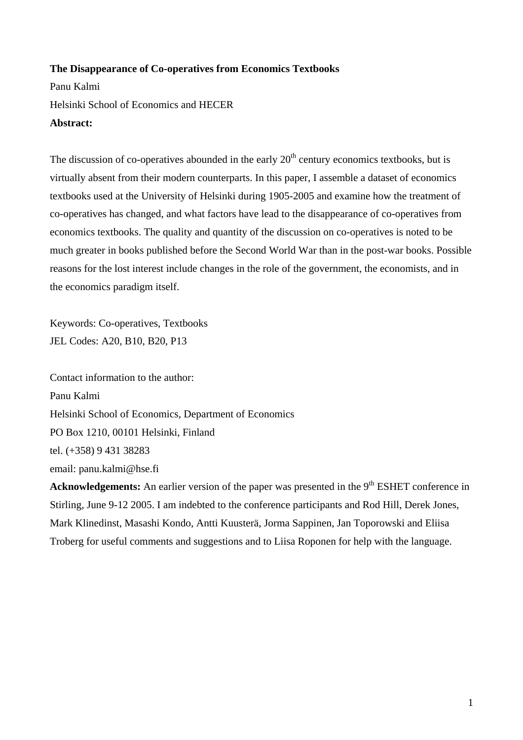#### **The Disappearance of Co-operatives from Economics Textbooks**

Panu Kalmi Helsinki School of Economics and HECER **Abstract:** 

The discussion of co-operatives abounded in the early  $20<sup>th</sup>$  century economics textbooks, but is virtually absent from their modern counterparts. In this paper, I assemble a dataset of economics textbooks used at the University of Helsinki during 1905-2005 and examine how the treatment of co-operatives has changed, and what factors have lead to the disappearance of co-operatives from economics textbooks. The quality and quantity of the discussion on co-operatives is noted to be much greater in books published before the Second World War than in the post-war books. Possible reasons for the lost interest include changes in the role of the government, the economists, and in the economics paradigm itself.

Keywords: Co-operatives, Textbooks JEL Codes: A20, B10, B20, P13

Contact information to the author: Panu Kalmi Helsinki School of Economics, Department of Economics PO Box 1210, 00101 Helsinki, Finland tel. (+358) 9 431 38283 email: panu.kalmi@hse.fi

**Acknowledgements:** An earlier version of the paper was presented in the 9<sup>th</sup> ESHET conference in Stirling, June 9-12 2005. I am indebted to the conference participants and Rod Hill, Derek Jones, Mark Klinedinst, Masashi Kondo, Antti Kuusterä, Jorma Sappinen, Jan Toporowski and Eliisa Troberg for useful comments and suggestions and to Liisa Roponen for help with the language.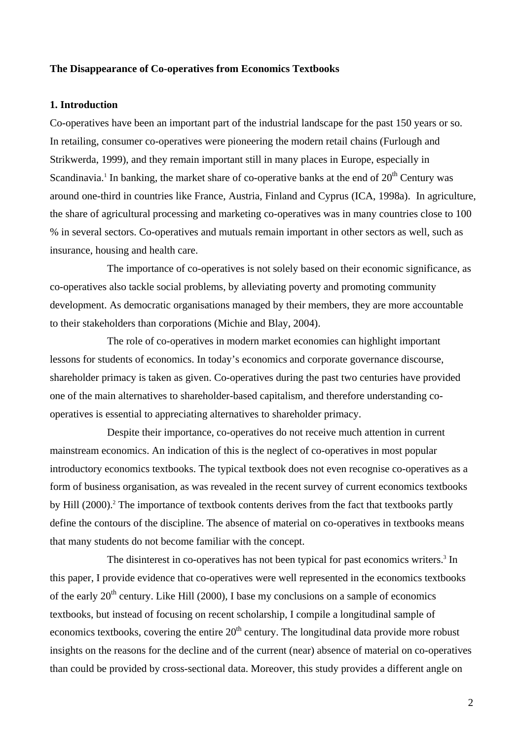#### **The Disappearance of Co-operatives from Economics Textbooks**

#### **1. Introduction**

Co-operatives have been an important part of the industrial landscape for the past 150 years or so. In retailing, consumer co-operatives were pioneering the modern retail chains (Furlough and Strikwerda, 1999), and they remain important still in many places in Europe, especially in Scandinavia.<sup>1</sup> In banking, the market share of co-operative banks at the end of  $20<sup>th</sup>$  Century was around one-third in countries like France, Austria, Finland and Cyprus (ICA, 1998a). In agriculture, the share of agricultural processing and marketing co-operatives was in many countries close to 100 % in several sectors. Co-operatives and mutuals remain important in other sectors as well, such as insurance, housing and health care.

The importance of co-operatives is not solely based on their economic significance, as co-operatives also tackle social problems, by alleviating poverty and promoting community development. As democratic organisations managed by their members, they are more accountable to their stakeholders than corporations (Michie and Blay, 2004).

The role of co-operatives in modern market economies can highlight important lessons for students of economics. In today's economics and corporate governance discourse, shareholder primacy is taken as given. Co-operatives during the past two centuries have provided one of the main alternatives to shareholder-based capitalism, and therefore understanding cooperatives is essential to appreciating alternatives to shareholder primacy.

Despite their importance, co-operatives do not receive much attention in current mainstream economics. An indication of this is the neglect of co-operatives in most popular introductory economics textbooks. The typical textbook does not even recognise co-operatives as a form of business organisation, as was revealed in the recent survey of current economics textbooks by Hill (2000).<sup>2</sup> The importance of textbook contents derives from the fact that textbooks partly define the contours of the discipline. The absence of material on co-operatives in textbooks means that many students do not become familiar with the concept.

The disinterest in co-operatives has not been typical for past economics writers.<sup>3</sup> In this paper, I provide evidence that co-operatives were well represented in the economics textbooks of the early  $20<sup>th</sup>$  century. Like Hill (2000), I base my conclusions on a sample of economics textbooks, but instead of focusing on recent scholarship, I compile a longitudinal sample of economics textbooks, covering the entire  $20<sup>th</sup>$  century. The longitudinal data provide more robust insights on the reasons for the decline and of the current (near) absence of material on co-operatives than could be provided by cross-sectional data. Moreover, this study provides a different angle on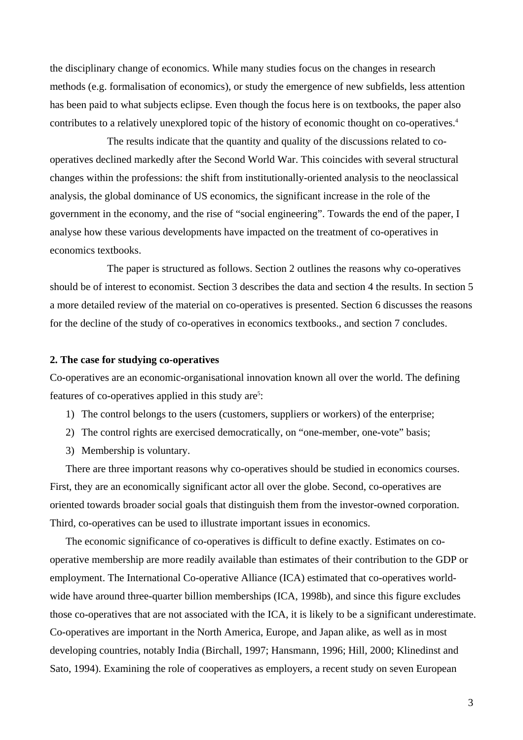the disciplinary change of economics. While many studies focus on the changes in research methods (e.g. formalisation of economics), or study the emergence of new subfields, less attention has been paid to what subjects eclipse. Even though the focus here is on textbooks, the paper also contributes to a relatively unexplored topic of the history of economic thought on co-operatives.<sup>4</sup>

The results indicate that the quantity and quality of the discussions related to cooperatives declined markedly after the Second World War. This coincides with several structural changes within the professions: the shift from institutionally-oriented analysis to the neoclassical analysis, the global dominance of US economics, the significant increase in the role of the government in the economy, and the rise of "social engineering". Towards the end of the paper, I analyse how these various developments have impacted on the treatment of co-operatives in economics textbooks.

The paper is structured as follows. Section 2 outlines the reasons why co-operatives should be of interest to economist. Section 3 describes the data and section 4 the results. In section 5 a more detailed review of the material on co-operatives is presented. Section 6 discusses the reasons for the decline of the study of co-operatives in economics textbooks., and section 7 concludes.

#### **2. The case for studying co-operatives**

Co-operatives are an economic-organisational innovation known all over the world. The defining features of co-operatives applied in this study are<sup>5</sup>:

- 1) The control belongs to the users (customers, suppliers or workers) of the enterprise;
- 2) The control rights are exercised democratically, on "one-member, one-vote" basis;
- 3) Membership is voluntary.

There are three important reasons why co-operatives should be studied in economics courses. First, they are an economically significant actor all over the globe. Second, co-operatives are oriented towards broader social goals that distinguish them from the investor-owned corporation. Third, co-operatives can be used to illustrate important issues in economics.

The economic significance of co-operatives is difficult to define exactly. Estimates on cooperative membership are more readily available than estimates of their contribution to the GDP or employment. The International Co-operative Alliance (ICA) estimated that co-operatives worldwide have around three-quarter billion memberships (ICA, 1998b), and since this figure excludes those co-operatives that are not associated with the ICA, it is likely to be a significant underestimate. Co-operatives are important in the North America, Europe, and Japan alike, as well as in most developing countries, notably India (Birchall, 1997; Hansmann, 1996; Hill, 2000; Klinedinst and Sato, 1994). Examining the role of cooperatives as employers, a recent study on seven European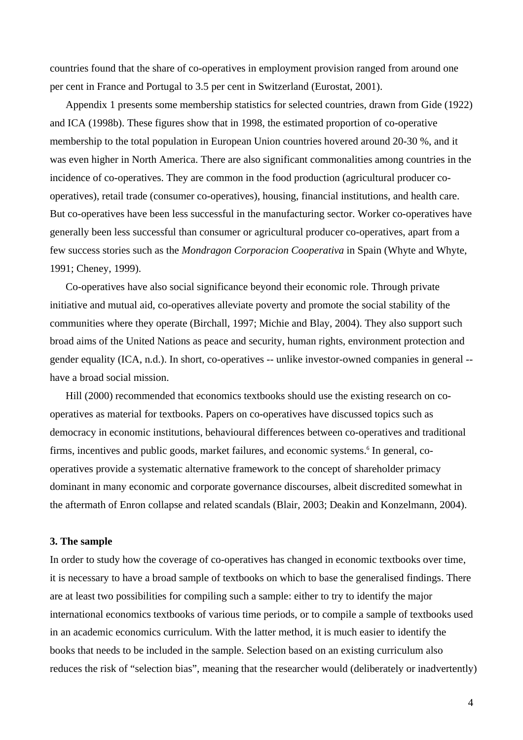countries found that the share of co-operatives in employment provision ranged from around one per cent in France and Portugal to 3.5 per cent in Switzerland (Eurostat, 2001).

Appendix 1 presents some membership statistics for selected countries, drawn from Gide (1922) and ICA (1998b). These figures show that in 1998, the estimated proportion of co-operative membership to the total population in European Union countries hovered around 20-30 %, and it was even higher in North America. There are also significant commonalities among countries in the incidence of co-operatives. They are common in the food production (agricultural producer cooperatives), retail trade (consumer co-operatives), housing, financial institutions, and health care. But co-operatives have been less successful in the manufacturing sector. Worker co-operatives have generally been less successful than consumer or agricultural producer co-operatives, apart from a few success stories such as the *Mondragon Corporacion Cooperativa* in Spain (Whyte and Whyte, 1991; Cheney, 1999).

Co-operatives have also social significance beyond their economic role. Through private initiative and mutual aid, co-operatives alleviate poverty and promote the social stability of the communities where they operate (Birchall, 1997; Michie and Blay, 2004). They also support such broad aims of the United Nations as peace and security, human rights, environment protection and gender equality (ICA, n.d.). In short, co-operatives -- unlike investor-owned companies in general - have a broad social mission.

Hill (2000) recommended that economics textbooks should use the existing research on cooperatives as material for textbooks. Papers on co-operatives have discussed topics such as democracy in economic institutions, behavioural differences between co-operatives and traditional firms, incentives and public goods, market failures, and economic systems.<sup>6</sup> In general, cooperatives provide a systematic alternative framework to the concept of shareholder primacy dominant in many economic and corporate governance discourses, albeit discredited somewhat in the aftermath of Enron collapse and related scandals (Blair, 2003; Deakin and Konzelmann, 2004).

#### **3. The sample**

In order to study how the coverage of co-operatives has changed in economic textbooks over time, it is necessary to have a broad sample of textbooks on which to base the generalised findings. There are at least two possibilities for compiling such a sample: either to try to identify the major international economics textbooks of various time periods, or to compile a sample of textbooks used in an academic economics curriculum. With the latter method, it is much easier to identify the books that needs to be included in the sample. Selection based on an existing curriculum also reduces the risk of "selection bias", meaning that the researcher would (deliberately or inadvertently)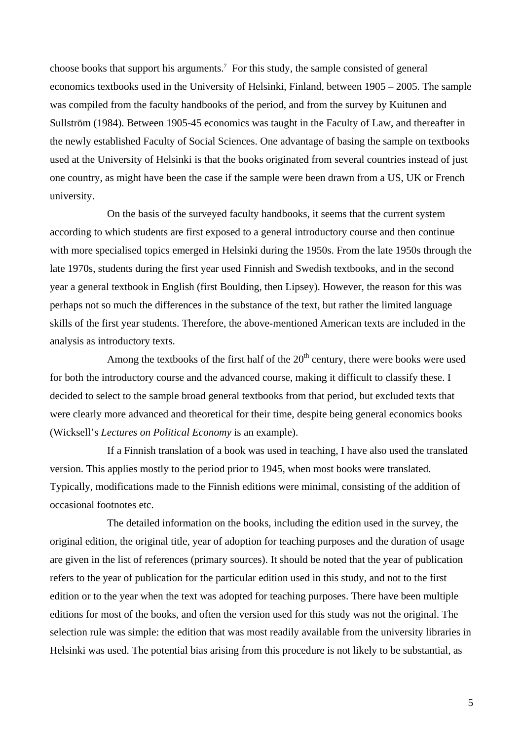choose books that support his arguments.<sup>7</sup> For this study, the sample consisted of general economics textbooks used in the University of Helsinki, Finland, between 1905 – 2005. The sample was compiled from the faculty handbooks of the period, and from the survey by Kuitunen and Sullström (1984). Between 1905-45 economics was taught in the Faculty of Law, and thereafter in the newly established Faculty of Social Sciences. One advantage of basing the sample on textbooks used at the University of Helsinki is that the books originated from several countries instead of just one country, as might have been the case if the sample were been drawn from a US, UK or French university.

On the basis of the surveyed faculty handbooks, it seems that the current system according to which students are first exposed to a general introductory course and then continue with more specialised topics emerged in Helsinki during the 1950s. From the late 1950s through the late 1970s, students during the first year used Finnish and Swedish textbooks, and in the second year a general textbook in English (first Boulding, then Lipsey). However, the reason for this was perhaps not so much the differences in the substance of the text, but rather the limited language skills of the first year students. Therefore, the above-mentioned American texts are included in the analysis as introductory texts.

Among the textbooks of the first half of the  $20<sup>th</sup>$  century, there were books were used for both the introductory course and the advanced course, making it difficult to classify these. I decided to select to the sample broad general textbooks from that period, but excluded texts that were clearly more advanced and theoretical for their time, despite being general economics books (Wicksell's *Lectures on Political Economy* is an example).

If a Finnish translation of a book was used in teaching, I have also used the translated version. This applies mostly to the period prior to 1945, when most books were translated. Typically, modifications made to the Finnish editions were minimal, consisting of the addition of occasional footnotes etc.

The detailed information on the books, including the edition used in the survey, the original edition, the original title, year of adoption for teaching purposes and the duration of usage are given in the list of references (primary sources). It should be noted that the year of publication refers to the year of publication for the particular edition used in this study, and not to the first edition or to the year when the text was adopted for teaching purposes. There have been multiple editions for most of the books, and often the version used for this study was not the original. The selection rule was simple: the edition that was most readily available from the university libraries in Helsinki was used. The potential bias arising from this procedure is not likely to be substantial, as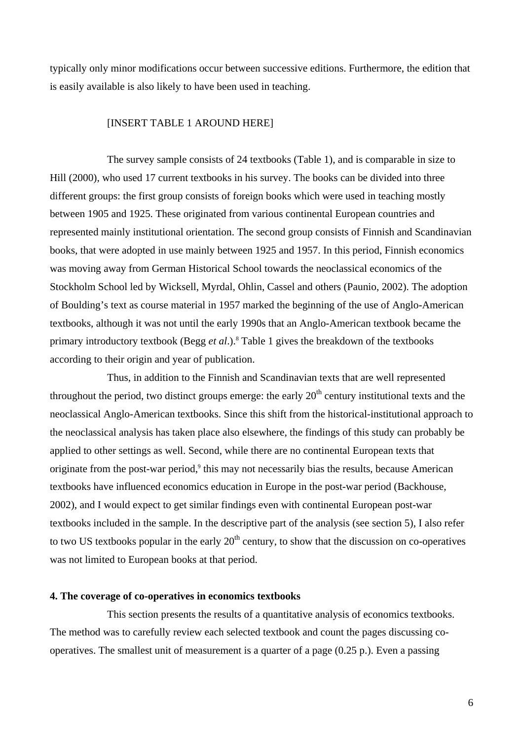typically only minor modifications occur between successive editions. Furthermore, the edition that is easily available is also likely to have been used in teaching.

#### [INSERT TABLE 1 AROUND HERE]

The survey sample consists of 24 textbooks (Table 1), and is comparable in size to Hill (2000), who used 17 current textbooks in his survey. The books can be divided into three different groups: the first group consists of foreign books which were used in teaching mostly between 1905 and 1925. These originated from various continental European countries and represented mainly institutional orientation. The second group consists of Finnish and Scandinavian books, that were adopted in use mainly between 1925 and 1957. In this period, Finnish economics was moving away from German Historical School towards the neoclassical economics of the Stockholm School led by Wicksell, Myrdal, Ohlin, Cassel and others (Paunio, 2002). The adoption of Boulding's text as course material in 1957 marked the beginning of the use of Anglo-American textbooks, although it was not until the early 1990s that an Anglo-American textbook became the primary introductory textbook (Begg *et al.*).<sup>8</sup> Table 1 gives the breakdown of the textbooks according to their origin and year of publication.

Thus, in addition to the Finnish and Scandinavian texts that are well represented throughout the period, two distinct groups emerge: the early  $20<sup>th</sup>$  century institutional texts and the neoclassical Anglo-American textbooks. Since this shift from the historical-institutional approach to the neoclassical analysis has taken place also elsewhere, the findings of this study can probably be applied to other settings as well. Second, while there are no continental European texts that originate from the post-war period,<sup>9</sup> this may not necessarily bias the results, because American textbooks have influenced economics education in Europe in the post-war period (Backhouse, 2002), and I would expect to get similar findings even with continental European post-war textbooks included in the sample. In the descriptive part of the analysis (see section 5), I also refer to two US textbooks popular in the early  $20<sup>th</sup>$  century, to show that the discussion on co-operatives was not limited to European books at that period.

#### **4. The coverage of co-operatives in economics textbooks**

This section presents the results of a quantitative analysis of economics textbooks. The method was to carefully review each selected textbook and count the pages discussing cooperatives. The smallest unit of measurement is a quarter of a page (0.25 p.). Even a passing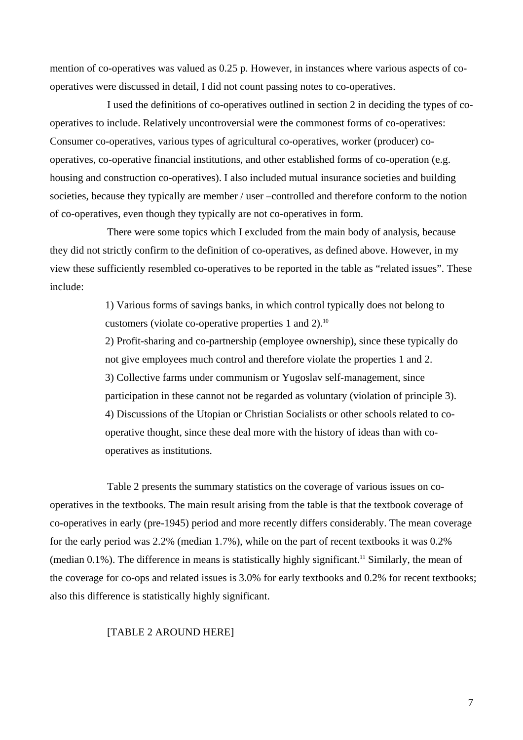mention of co-operatives was valued as 0.25 p. However, in instances where various aspects of cooperatives were discussed in detail, I did not count passing notes to co-operatives.

I used the definitions of co-operatives outlined in section 2 in deciding the types of cooperatives to include. Relatively uncontroversial were the commonest forms of co-operatives: Consumer co-operatives, various types of agricultural co-operatives, worker (producer) cooperatives, co-operative financial institutions, and other established forms of co-operation (e.g. housing and construction co-operatives). I also included mutual insurance societies and building societies, because they typically are member / user –controlled and therefore conform to the notion of co-operatives, even though they typically are not co-operatives in form.

There were some topics which I excluded from the main body of analysis, because they did not strictly confirm to the definition of co-operatives, as defined above. However, in my view these sufficiently resembled co-operatives to be reported in the table as "related issues". These include:

> 1) Various forms of savings banks, in which control typically does not belong to customers (violate co-operative properties 1 and 2).10

2) Profit-sharing and co-partnership (employee ownership), since these typically do not give employees much control and therefore violate the properties 1 and 2. 3) Collective farms under communism or Yugoslav self-management, since participation in these cannot not be regarded as voluntary (violation of principle 3). 4) Discussions of the Utopian or Christian Socialists or other schools related to cooperative thought, since these deal more with the history of ideas than with cooperatives as institutions.

Table 2 presents the summary statistics on the coverage of various issues on cooperatives in the textbooks. The main result arising from the table is that the textbook coverage of co-operatives in early (pre-1945) period and more recently differs considerably. The mean coverage for the early period was 2.2% (median 1.7%), while on the part of recent textbooks it was 0.2% (median 0.1%). The difference in means is statistically highly significant.<sup>11</sup> Similarly, the mean of the coverage for co-ops and related issues is 3.0% for early textbooks and 0.2% for recent textbooks; also this difference is statistically highly significant.

#### [TABLE 2 AROUND HERE]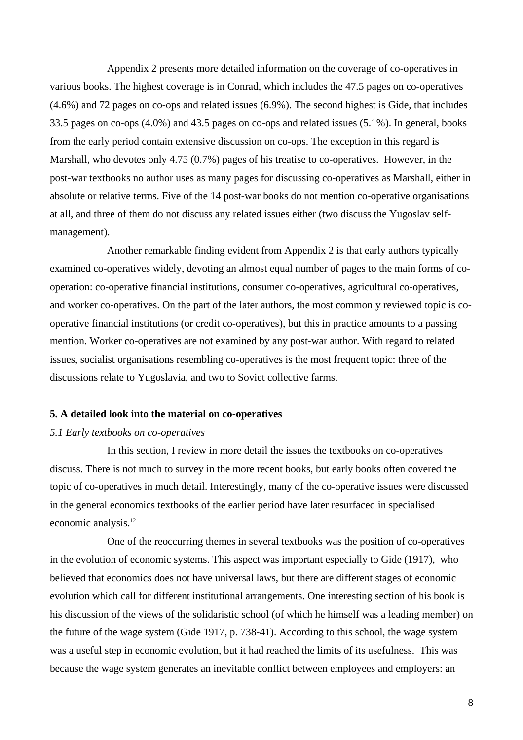Appendix 2 presents more detailed information on the coverage of co-operatives in various books. The highest coverage is in Conrad, which includes the 47.5 pages on co-operatives (4.6%) and 72 pages on co-ops and related issues (6.9%). The second highest is Gide, that includes 33.5 pages on co-ops (4.0%) and 43.5 pages on co-ops and related issues (5.1%). In general, books from the early period contain extensive discussion on co-ops. The exception in this regard is Marshall, who devotes only 4.75 (0.7%) pages of his treatise to co-operatives. However, in the post-war textbooks no author uses as many pages for discussing co-operatives as Marshall, either in absolute or relative terms. Five of the 14 post-war books do not mention co-operative organisations at all, and three of them do not discuss any related issues either (two discuss the Yugoslav selfmanagement).

Another remarkable finding evident from Appendix 2 is that early authors typically examined co-operatives widely, devoting an almost equal number of pages to the main forms of cooperation: co-operative financial institutions, consumer co-operatives, agricultural co-operatives, and worker co-operatives. On the part of the later authors, the most commonly reviewed topic is cooperative financial institutions (or credit co-operatives), but this in practice amounts to a passing mention. Worker co-operatives are not examined by any post-war author. With regard to related issues, socialist organisations resembling co-operatives is the most frequent topic: three of the discussions relate to Yugoslavia, and two to Soviet collective farms.

#### **5. A detailed look into the material on co-operatives**

#### *5.1 Early textbooks on co-operatives*

In this section, I review in more detail the issues the textbooks on co-operatives discuss. There is not much to survey in the more recent books, but early books often covered the topic of co-operatives in much detail. Interestingly, many of the co-operative issues were discussed in the general economics textbooks of the earlier period have later resurfaced in specialised economic analysis.12

One of the reoccurring themes in several textbooks was the position of co-operatives in the evolution of economic systems. This aspect was important especially to Gide (1917), who believed that economics does not have universal laws, but there are different stages of economic evolution which call for different institutional arrangements. One interesting section of his book is his discussion of the views of the solidaristic school (of which he himself was a leading member) on the future of the wage system (Gide 1917, p. 738-41). According to this school, the wage system was a useful step in economic evolution, but it had reached the limits of its usefulness. This was because the wage system generates an inevitable conflict between employees and employers: an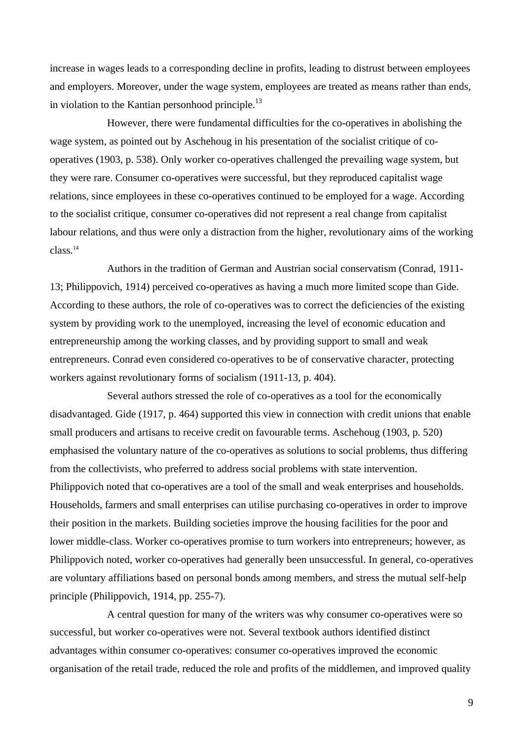increase in wages leads to a corresponding decline in profits, leading to distrust between employees and employers. Moreover, under the wage system, employees are treated as means rather than ends, in violation to the Kantian personhood principle. $^{13}$ 

However, there were fundamental difficulties for the co-operatives in abolishing the wage system, as pointed out by Aschehoug in his presentation of the socialist critique of cooperatives (1903, p. 538). Only worker co-operatives challenged the prevailing wage system, but they were rare. Consumer co-operatives were successful, but they reproduced capitalist wage relations, since employees in these co-operatives continued to be employed for a wage. According to the socialist critique, consumer co-operatives did not represent a real change from capitalist labour relations, and thus were only a distraction from the higher, revolutionary aims of the working class.14

Authors in the tradition of German and Austrian social conservatism (Conrad, 1911- 13; Philippovich, 1914) perceived co-operatives as having a much more limited scope than Gide. According to these authors, the role of co-operatives was to correct the deficiencies of the existing system by providing work to the unemployed, increasing the level of economic education and entrepreneurship among the working classes, and by providing support to small and weak entrepreneurs. Conrad even considered co-operatives to be of conservative character, protecting workers against revolutionary forms of socialism (1911-13, p. 404).

Several authors stressed the role of co-operatives as a tool for the economically disadvantaged. Gide (1917, p. 464) supported this view in connection with credit unions that enable small producers and artisans to receive credit on favourable terms. Aschehoug (1903, p. 520) emphasised the voluntary nature of the co-operatives as solutions to social problems, thus differing from the collectivists, who preferred to address social problems with state intervention. Philippovich noted that co-operatives are a tool of the small and weak enterprises and households. Households, farmers and small enterprises can utilise purchasing co-operatives in order to improve their position in the markets. Building societies improve the housing facilities for the poor and lower middle-class. Worker co-operatives promise to turn workers into entrepreneurs; however, as Philippovich noted, worker co-operatives had generally been unsuccessful. In general, co-operatives are voluntary affiliations based on personal bonds among members, and stress the mutual self-help principle (Philippovich, 1914, pp. 255-7).

A central question for many of the writers was why consumer co-operatives were so successful, but worker co-operatives were not. Several textbook authors identified distinct advantages within consumer co-operatives: consumer co-operatives improved the economic organisation of the retail trade, reduced the role and profits of the middlemen, and improved quality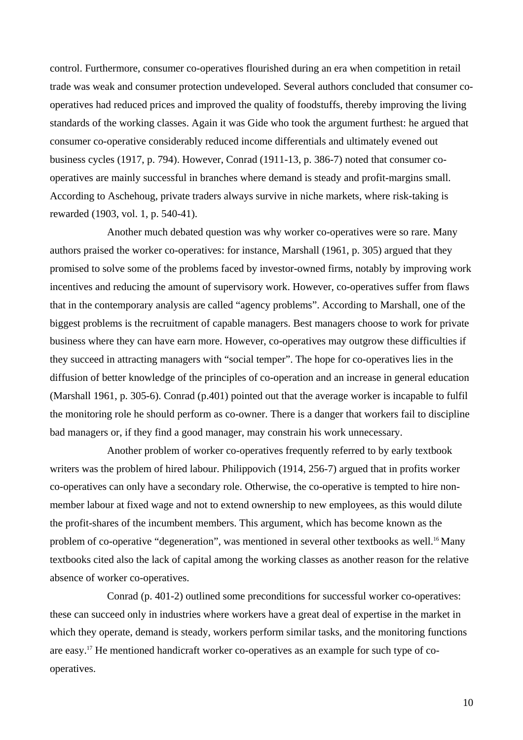control. Furthermore, consumer co-operatives flourished during an era when competition in retail trade was weak and consumer protection undeveloped. Several authors concluded that consumer cooperatives had reduced prices and improved the quality of foodstuffs, thereby improving the living standards of the working classes. Again it was Gide who took the argument furthest: he argued that consumer co-operative considerably reduced income differentials and ultimately evened out business cycles (1917, p. 794). However, Conrad (1911-13, p. 386-7) noted that consumer cooperatives are mainly successful in branches where demand is steady and profit-margins small. According to Aschehoug, private traders always survive in niche markets, where risk-taking is rewarded (1903, vol. 1, p. 540-41).

Another much debated question was why worker co-operatives were so rare. Many authors praised the worker co-operatives: for instance, Marshall (1961, p. 305) argued that they promised to solve some of the problems faced by investor-owned firms, notably by improving work incentives and reducing the amount of supervisory work. However, co-operatives suffer from flaws that in the contemporary analysis are called "agency problems". According to Marshall, one of the biggest problems is the recruitment of capable managers. Best managers choose to work for private business where they can have earn more. However, co-operatives may outgrow these difficulties if they succeed in attracting managers with "social temper". The hope for co-operatives lies in the diffusion of better knowledge of the principles of co-operation and an increase in general education (Marshall 1961, p. 305-6). Conrad (p.401) pointed out that the average worker is incapable to fulfil the monitoring role he should perform as co-owner. There is a danger that workers fail to discipline bad managers or, if they find a good manager, may constrain his work unnecessary.

Another problem of worker co-operatives frequently referred to by early textbook writers was the problem of hired labour. Philippovich (1914, 256-7) argued that in profits worker co-operatives can only have a secondary role. Otherwise, the co-operative is tempted to hire nonmember labour at fixed wage and not to extend ownership to new employees, as this would dilute the profit-shares of the incumbent members. This argument, which has become known as the problem of co-operative "degeneration", was mentioned in several other textbooks as well.<sup>16</sup> Many textbooks cited also the lack of capital among the working classes as another reason for the relative absence of worker co-operatives.

Conrad (p. 401-2) outlined some preconditions for successful worker co-operatives: these can succeed only in industries where workers have a great deal of expertise in the market in which they operate, demand is steady, workers perform similar tasks, and the monitoring functions are easy.17 He mentioned handicraft worker co-operatives as an example for such type of cooperatives.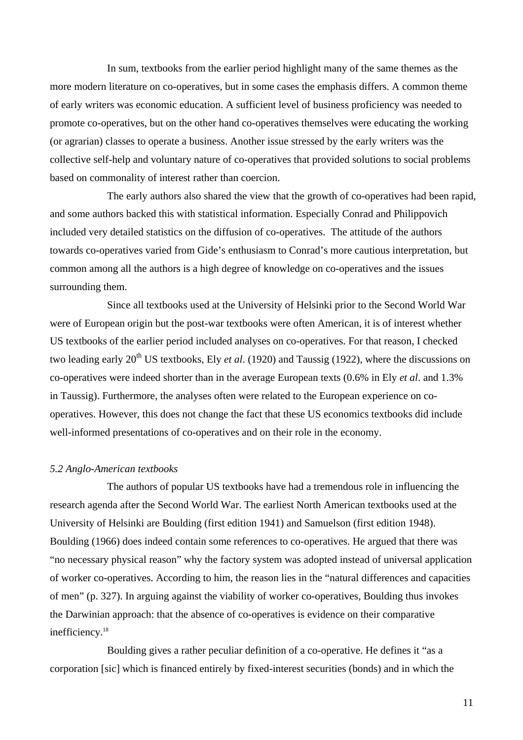In sum, textbooks from the earlier period highlight many of the same themes as the more modern literature on co-operatives, but in some cases the emphasis differs. A common theme of early writers was economic education. A sufficient level of business proficiency was needed to promote co-operatives, but on the other hand co-operatives themselves were educating the working (or agrarian) classes to operate a business. Another issue stressed by the early writers was the collective self-help and voluntary nature of co-operatives that provided solutions to social problems based on commonality of interest rather than coercion.

The early authors also shared the view that the growth of co-operatives had been rapid, and some authors backed this with statistical information. Especially Conrad and Philippovich included very detailed statistics on the diffusion of co-operatives. The attitude of the authors towards co-operatives varied from Gide's enthusiasm to Conrad's more cautious interpretation, but common among all the authors is a high degree of knowledge on co-operatives and the issues surrounding them.

Since all textbooks used at the University of Helsinki prior to the Second World War were of European origin but the post-war textbooks were often American, it is of interest whether US textbooks of the earlier period included analyses on co-operatives. For that reason, I checked two leading early 20<sup>th</sup> US textbooks, Ely *et al.* (1920) and Taussig (1922), where the discussions on co-operatives were indeed shorter than in the average European texts (0.6% in Ely *et al*. and 1.3% in Taussig). Furthermore, the analyses often were related to the European experience on cooperatives. However, this does not change the fact that these US economics textbooks did include well-informed presentations of co-operatives and on their role in the economy.

#### *5.2 Anglo-American textbooks*

The authors of popular US textbooks have had a tremendous role in influencing the research agenda after the Second World War. The earliest North American textbooks used at the University of Helsinki are Boulding (first edition 1941) and Samuelson (first edition 1948). Boulding (1966) does indeed contain some references to co-operatives. He argued that there was "no necessary physical reason" why the factory system was adopted instead of universal application of worker co-operatives. According to him, the reason lies in the "natural differences and capacities of men" (p. 327). In arguing against the viability of worker co-operatives, Boulding thus invokes the Darwinian approach: that the absence of co-operatives is evidence on their comparative inefficiency.<sup>18</sup>

Boulding gives a rather peculiar definition of a co-operative. He defines it "as a corporation [sic] which is financed entirely by fixed-interest securities (bonds) and in which the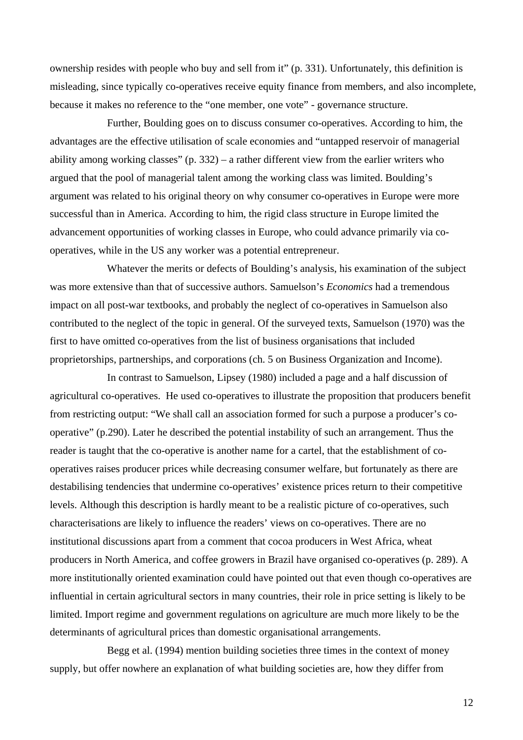ownership resides with people who buy and sell from it" (p. 331). Unfortunately, this definition is misleading, since typically co-operatives receive equity finance from members, and also incomplete, because it makes no reference to the "one member, one vote" - governance structure.

Further, Boulding goes on to discuss consumer co-operatives. According to him, the advantages are the effective utilisation of scale economies and "untapped reservoir of managerial ability among working classes" (p. 332) – a rather different view from the earlier writers who argued that the pool of managerial talent among the working class was limited. Boulding's argument was related to his original theory on why consumer co-operatives in Europe were more successful than in America. According to him, the rigid class structure in Europe limited the advancement opportunities of working classes in Europe, who could advance primarily via cooperatives, while in the US any worker was a potential entrepreneur.

Whatever the merits or defects of Boulding's analysis, his examination of the subject was more extensive than that of successive authors. Samuelson's *Economics* had a tremendous impact on all post-war textbooks, and probably the neglect of co-operatives in Samuelson also contributed to the neglect of the topic in general. Of the surveyed texts, Samuelson (1970) was the first to have omitted co-operatives from the list of business organisations that included proprietorships, partnerships, and corporations (ch. 5 on Business Organization and Income).

In contrast to Samuelson, Lipsey (1980) included a page and a half discussion of agricultural co-operatives. He used co-operatives to illustrate the proposition that producers benefit from restricting output: "We shall call an association formed for such a purpose a producer's cooperative" (p.290). Later he described the potential instability of such an arrangement. Thus the reader is taught that the co-operative is another name for a cartel, that the establishment of cooperatives raises producer prices while decreasing consumer welfare, but fortunately as there are destabilising tendencies that undermine co-operatives' existence prices return to their competitive levels. Although this description is hardly meant to be a realistic picture of co-operatives, such characterisations are likely to influence the readers' views on co-operatives. There are no institutional discussions apart from a comment that cocoa producers in West Africa, wheat producers in North America, and coffee growers in Brazil have organised co-operatives (p. 289). A more institutionally oriented examination could have pointed out that even though co-operatives are influential in certain agricultural sectors in many countries, their role in price setting is likely to be limited. Import regime and government regulations on agriculture are much more likely to be the determinants of agricultural prices than domestic organisational arrangements.

Begg et al. (1994) mention building societies three times in the context of money supply, but offer nowhere an explanation of what building societies are, how they differ from

12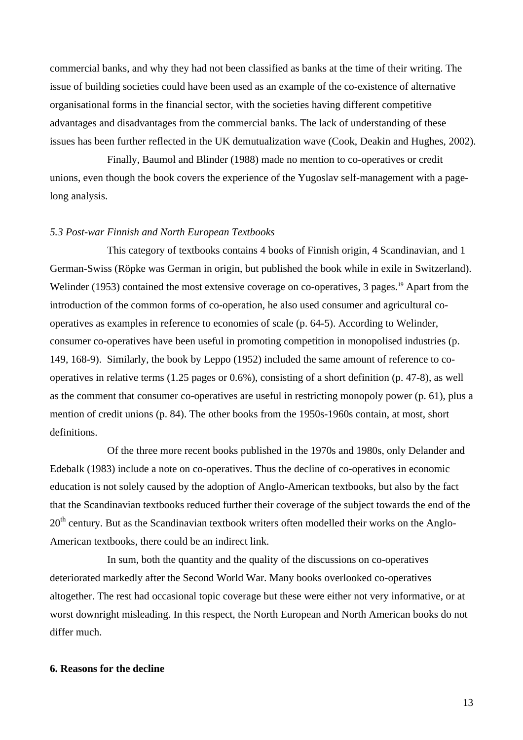commercial banks, and why they had not been classified as banks at the time of their writing. The issue of building societies could have been used as an example of the co-existence of alternative organisational forms in the financial sector, with the societies having different competitive advantages and disadvantages from the commercial banks. The lack of understanding of these issues has been further reflected in the UK demutualization wave (Cook, Deakin and Hughes, 2002).

Finally, Baumol and Blinder (1988) made no mention to co-operatives or credit unions, even though the book covers the experience of the Yugoslav self-management with a pagelong analysis.

#### *5.3 Post-war Finnish and North European Textbooks*

This category of textbooks contains 4 books of Finnish origin, 4 Scandinavian, and 1 German-Swiss (Röpke was German in origin, but published the book while in exile in Switzerland). Welinder (1953) contained the most extensive coverage on co-operatives, 3 pages.<sup>19</sup> Apart from the introduction of the common forms of co-operation, he also used consumer and agricultural cooperatives as examples in reference to economies of scale (p. 64-5). According to Welinder, consumer co-operatives have been useful in promoting competition in monopolised industries (p. 149, 168-9). Similarly, the book by Leppo (1952) included the same amount of reference to cooperatives in relative terms (1.25 pages or 0.6%), consisting of a short definition (p. 47-8), as well as the comment that consumer co-operatives are useful in restricting monopoly power (p. 61), plus a mention of credit unions (p. 84). The other books from the 1950s-1960s contain, at most, short definitions.

Of the three more recent books published in the 1970s and 1980s, only Delander and Edebalk (1983) include a note on co-operatives. Thus the decline of co-operatives in economic education is not solely caused by the adoption of Anglo-American textbooks, but also by the fact that the Scandinavian textbooks reduced further their coverage of the subject towards the end of the  $20<sup>th</sup>$  century. But as the Scandinavian textbook writers often modelled their works on the Anglo-American textbooks, there could be an indirect link.

In sum, both the quantity and the quality of the discussions on co-operatives deteriorated markedly after the Second World War. Many books overlooked co-operatives altogether. The rest had occasional topic coverage but these were either not very informative, or at worst downright misleading. In this respect, the North European and North American books do not differ much.

#### **6. Reasons for the decline**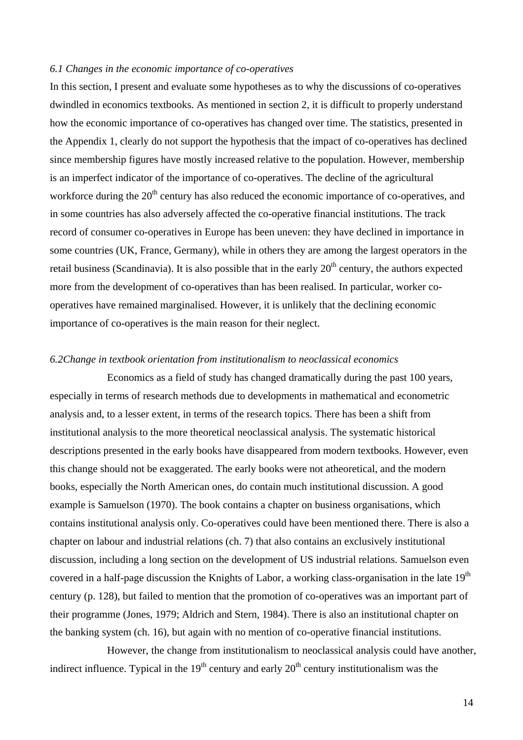#### *6.1 Changes in the economic importance of co-operatives*

In this section, I present and evaluate some hypotheses as to why the discussions of co-operatives dwindled in economics textbooks. As mentioned in section 2, it is difficult to properly understand how the economic importance of co-operatives has changed over time. The statistics, presented in the Appendix 1, clearly do not support the hypothesis that the impact of co-operatives has declined since membership figures have mostly increased relative to the population. However, membership is an imperfect indicator of the importance of co-operatives. The decline of the agricultural workforce during the  $20<sup>th</sup>$  century has also reduced the economic importance of co-operatives, and in some countries has also adversely affected the co-operative financial institutions. The track record of consumer co-operatives in Europe has been uneven: they have declined in importance in some countries (UK, France, Germany), while in others they are among the largest operators in the retail business (Scandinavia). It is also possible that in the early  $20<sup>th</sup>$  century, the authors expected more from the development of co-operatives than has been realised. In particular, worker cooperatives have remained marginalised. However, it is unlikely that the declining economic importance of co-operatives is the main reason for their neglect.

#### *6.2Change in textbook orientation from institutionalism to neoclassical economics*

Economics as a field of study has changed dramatically during the past 100 years, especially in terms of research methods due to developments in mathematical and econometric analysis and, to a lesser extent, in terms of the research topics. There has been a shift from institutional analysis to the more theoretical neoclassical analysis. The systematic historical descriptions presented in the early books have disappeared from modern textbooks. However, even this change should not be exaggerated. The early books were not atheoretical, and the modern books, especially the North American ones, do contain much institutional discussion. A good example is Samuelson (1970). The book contains a chapter on business organisations, which contains institutional analysis only. Co-operatives could have been mentioned there. There is also a chapter on labour and industrial relations (ch. 7) that also contains an exclusively institutional discussion, including a long section on the development of US industrial relations. Samuelson even covered in a half-page discussion the Knights of Labor, a working class-organisation in the late 19<sup>th</sup> century (p. 128), but failed to mention that the promotion of co-operatives was an important part of their programme (Jones, 1979; Aldrich and Stern, 1984). There is also an institutional chapter on the banking system (ch. 16), but again with no mention of co-operative financial institutions.

However, the change from institutionalism to neoclassical analysis could have another, indirect influence. Typical in the  $19<sup>th</sup>$  century and early  $20<sup>th</sup>$  century institutionalism was the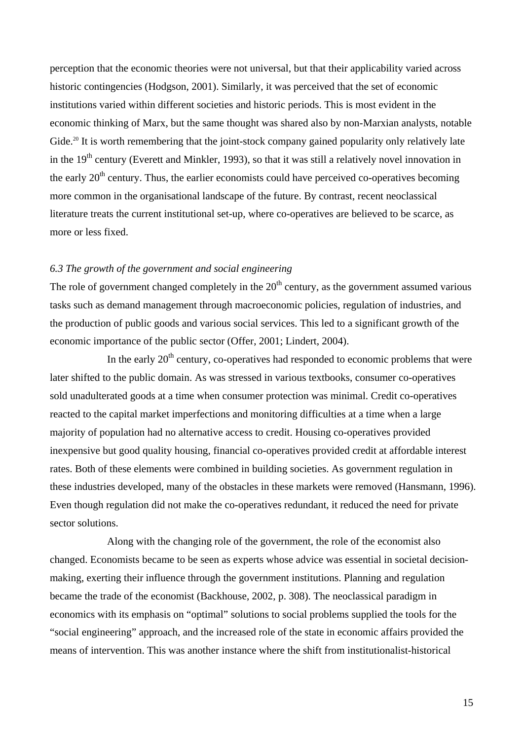perception that the economic theories were not universal, but that their applicability varied across historic contingencies (Hodgson, 2001). Similarly, it was perceived that the set of economic institutions varied within different societies and historic periods. This is most evident in the economic thinking of Marx, but the same thought was shared also by non-Marxian analysts, notable Gide.<sup>20</sup> It is worth remembering that the joint-stock company gained popularity only relatively late in the 19<sup>th</sup> century (Everett and Minkler, 1993), so that it was still a relatively novel innovation in the early  $20<sup>th</sup>$  century. Thus, the earlier economists could have perceived co-operatives becoming more common in the organisational landscape of the future. By contrast, recent neoclassical literature treats the current institutional set-up, where co-operatives are believed to be scarce, as more or less fixed.

#### *6.3 The growth of the government and social engineering*

The role of government changed completely in the  $20<sup>th</sup>$  century, as the government assumed various tasks such as demand management through macroeconomic policies, regulation of industries, and the production of public goods and various social services. This led to a significant growth of the economic importance of the public sector (Offer, 2001; Lindert, 2004).

In the early  $20<sup>th</sup>$  century, co-operatives had responded to economic problems that were later shifted to the public domain. As was stressed in various textbooks, consumer co-operatives sold unadulterated goods at a time when consumer protection was minimal. Credit co-operatives reacted to the capital market imperfections and monitoring difficulties at a time when a large majority of population had no alternative access to credit. Housing co-operatives provided inexpensive but good quality housing, financial co-operatives provided credit at affordable interest rates. Both of these elements were combined in building societies. As government regulation in these industries developed, many of the obstacles in these markets were removed (Hansmann, 1996). Even though regulation did not make the co-operatives redundant, it reduced the need for private sector solutions.

Along with the changing role of the government, the role of the economist also changed. Economists became to be seen as experts whose advice was essential in societal decisionmaking, exerting their influence through the government institutions. Planning and regulation became the trade of the economist (Backhouse, 2002, p. 308). The neoclassical paradigm in economics with its emphasis on "optimal" solutions to social problems supplied the tools for the "social engineering" approach, and the increased role of the state in economic affairs provided the means of intervention. This was another instance where the shift from institutionalist-historical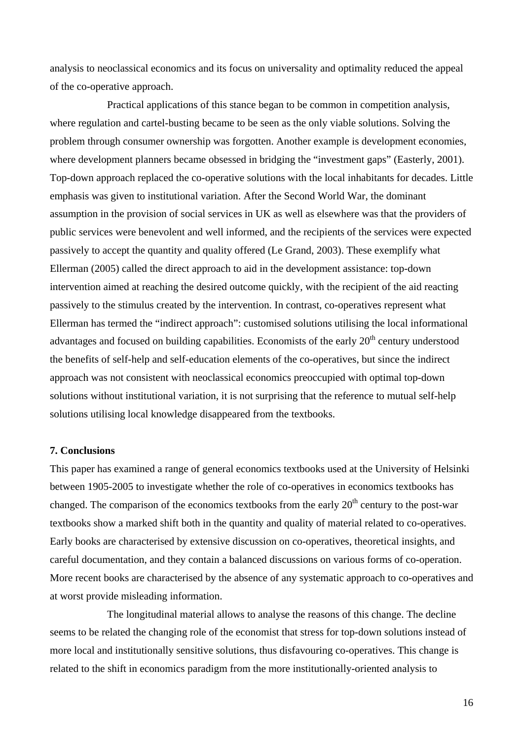analysis to neoclassical economics and its focus on universality and optimality reduced the appeal of the co-operative approach.

Practical applications of this stance began to be common in competition analysis, where regulation and cartel-busting became to be seen as the only viable solutions. Solving the problem through consumer ownership was forgotten. Another example is development economies, where development planners became obsessed in bridging the "investment gaps" (Easterly, 2001). Top-down approach replaced the co-operative solutions with the local inhabitants for decades. Little emphasis was given to institutional variation. After the Second World War, the dominant assumption in the provision of social services in UK as well as elsewhere was that the providers of public services were benevolent and well informed, and the recipients of the services were expected passively to accept the quantity and quality offered (Le Grand, 2003). These exemplify what Ellerman (2005) called the direct approach to aid in the development assistance: top-down intervention aimed at reaching the desired outcome quickly, with the recipient of the aid reacting passively to the stimulus created by the intervention. In contrast, co-operatives represent what Ellerman has termed the "indirect approach": customised solutions utilising the local informational advantages and focused on building capabilities. Economists of the early  $20<sup>th</sup>$  century understood the benefits of self-help and self-education elements of the co-operatives, but since the indirect approach was not consistent with neoclassical economics preoccupied with optimal top-down solutions without institutional variation, it is not surprising that the reference to mutual self-help solutions utilising local knowledge disappeared from the textbooks.

#### **7. Conclusions**

This paper has examined a range of general economics textbooks used at the University of Helsinki between 1905-2005 to investigate whether the role of co-operatives in economics textbooks has changed. The comparison of the economics textbooks from the early  $20<sup>th</sup>$  century to the post-war textbooks show a marked shift both in the quantity and quality of material related to co-operatives. Early books are characterised by extensive discussion on co-operatives, theoretical insights, and careful documentation, and they contain a balanced discussions on various forms of co-operation. More recent books are characterised by the absence of any systematic approach to co-operatives and at worst provide misleading information.

The longitudinal material allows to analyse the reasons of this change. The decline seems to be related the changing role of the economist that stress for top-down solutions instead of more local and institutionally sensitive solutions, thus disfavouring co-operatives. This change is related to the shift in economics paradigm from the more institutionally-oriented analysis to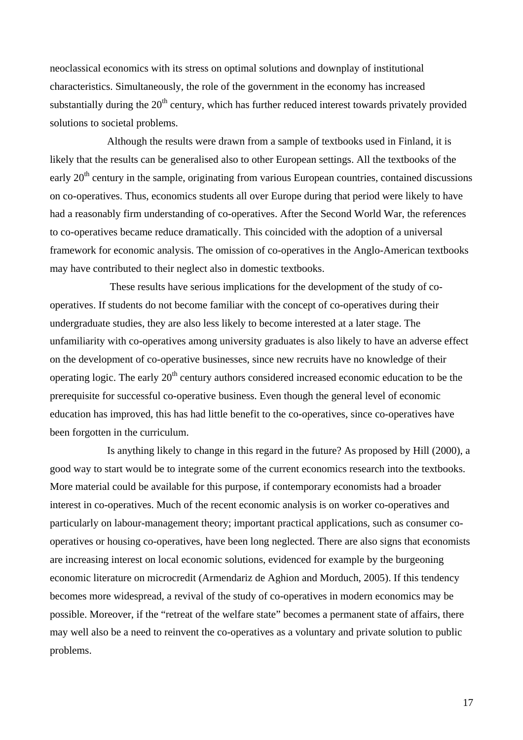neoclassical economics with its stress on optimal solutions and downplay of institutional characteristics. Simultaneously, the role of the government in the economy has increased substantially during the  $20<sup>th</sup>$  century, which has further reduced interest towards privately provided solutions to societal problems.

Although the results were drawn from a sample of textbooks used in Finland, it is likely that the results can be generalised also to other European settings. All the textbooks of the early  $20<sup>th</sup>$  century in the sample, originating from various European countries, contained discussions on co-operatives. Thus, economics students all over Europe during that period were likely to have had a reasonably firm understanding of co-operatives. After the Second World War, the references to co-operatives became reduce dramatically. This coincided with the adoption of a universal framework for economic analysis. The omission of co-operatives in the Anglo-American textbooks may have contributed to their neglect also in domestic textbooks.

 These results have serious implications for the development of the study of cooperatives. If students do not become familiar with the concept of co-operatives during their undergraduate studies, they are also less likely to become interested at a later stage. The unfamiliarity with co-operatives among university graduates is also likely to have an adverse effect on the development of co-operative businesses, since new recruits have no knowledge of their operating logic. The early  $20<sup>th</sup>$  century authors considered increased economic education to be the prerequisite for successful co-operative business. Even though the general level of economic education has improved, this has had little benefit to the co-operatives, since co-operatives have been forgotten in the curriculum.

Is anything likely to change in this regard in the future? As proposed by Hill (2000), a good way to start would be to integrate some of the current economics research into the textbooks. More material could be available for this purpose, if contemporary economists had a broader interest in co-operatives. Much of the recent economic analysis is on worker co-operatives and particularly on labour-management theory; important practical applications, such as consumer cooperatives or housing co-operatives, have been long neglected. There are also signs that economists are increasing interest on local economic solutions, evidenced for example by the burgeoning economic literature on microcredit (Armendariz de Aghion and Morduch, 2005). If this tendency becomes more widespread, a revival of the study of co-operatives in modern economics may be possible. Moreover, if the "retreat of the welfare state" becomes a permanent state of affairs, there may well also be a need to reinvent the co-operatives as a voluntary and private solution to public problems.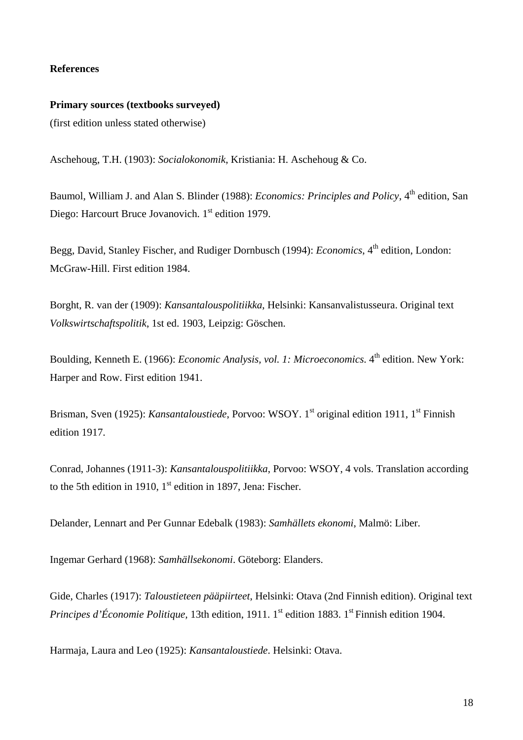#### **References**

### **Primary sources (textbooks surveyed)**  (first edition unless stated otherwise)

Aschehoug, T.H. (1903): *Socialokonomik*, Kristiania: H. Aschehoug & Co.

Baumol, William J. and Alan S. Blinder (1988): *Economics: Principles and Policy*, 4<sup>th</sup> edition, San Diego: Harcourt Bruce Jovanovich. 1<sup>st</sup> edition 1979.

Begg, David, Stanley Fischer, and Rudiger Dornbusch (1994): *Economics*, 4<sup>th</sup> edition, London: McGraw-Hill. First edition 1984.

Borght, R. van der (1909): *Kansantalouspolitiikka*, Helsinki: Kansanvalistusseura. Original text *Volkswirtschaftspolitik*, 1st ed. 1903, Leipzig: Göschen.

Boulding, Kenneth E. (1966): *Economic Analysis, vol. 1: Microeconomics*. 4<sup>th</sup> edition. New York: Harper and Row. First edition 1941.

Brisman, Sven (1925): *Kansantaloustiede*, Porvoo: WSOY. 1<sup>st</sup> original edition 1911, 1<sup>st</sup> Finnish edition 1917.

Conrad, Johannes (1911-3): *Kansantalouspolitiikka*, Porvoo: WSOY, 4 vols. Translation according to the 5th edition in 1910,  $1<sup>st</sup>$  edition in 1897, Jena: Fischer.

Delander, Lennart and Per Gunnar Edebalk (1983): *Samhällets ekonomi*, Malmö: Liber.

Ingemar Gerhard (1968): *Samhällsekonomi*. Göteborg: Elanders.

Gide, Charles (1917): *Taloustieteen pääpiirteet*, Helsinki: Otava (2nd Finnish edition). Original text *Principes d'Économie Politique, 13th edition, 1911, 1<sup>st</sup> edition 1883, 1<sup>st</sup> Finnish edition 1904.* 

Harmaja, Laura and Leo (1925): *Kansantaloustiede*. Helsinki: Otava.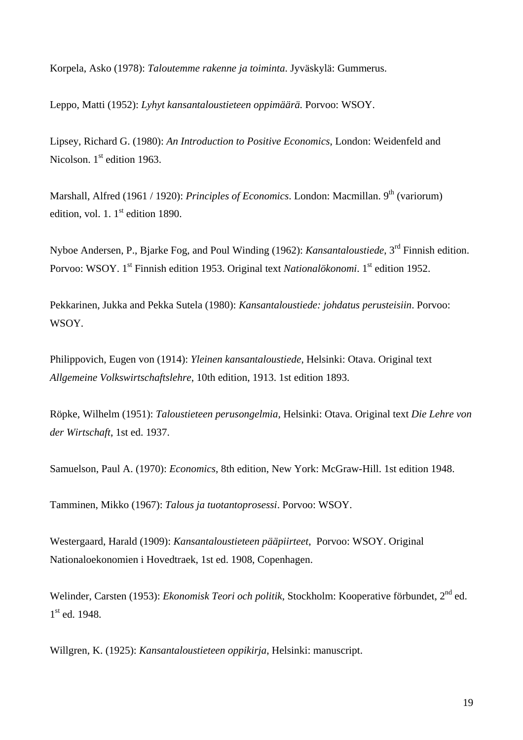Korpela, Asko (1978): *Taloutemme rakenne ja toiminta*. Jyväskylä: Gummerus.

Leppo, Matti (1952): *Lyhyt kansantaloustieteen oppimäärä.* Porvoo: WSOY.

Lipsey, Richard G. (1980): *An Introduction to Positive Economics*, London: Weidenfeld and Nicolson.  $1<sup>st</sup>$  edition 1963.

Marshall, Alfred (1961 / 1920): *Principles of Economics*. London: Macmillan. 9<sup>th</sup> (variorum) edition, vol. 1.  $1^{\text{st}}$  edition 1890.

Nyboe Andersen, P., Bjarke Fog, and Poul Winding (1962): *Kansantaloustiede*, 3rd Finnish edition. Porvoo: WSOY. 1<sup>st</sup> Finnish edition 1953. Original text *Nationalökonomi*. 1<sup>st</sup> edition 1952.

Pekkarinen, Jukka and Pekka Sutela (1980): *Kansantaloustiede: johdatus perusteisiin*. Porvoo: WSOY.

Philippovich, Eugen von (1914): *Yleinen kansantaloustiede*, Helsinki: Otava. Original text *Allgemeine Volkswirtschaftslehre*, 10th edition, 1913. 1st edition 1893.

Röpke, Wilhelm (1951): *Taloustieteen perusongelmia,* Helsinki: Otava. Original text *Die Lehre von der Wirtschaft*, 1st ed. 1937.

Samuelson, Paul A. (1970): *Economics*, 8th edition, New York: McGraw-Hill. 1st edition 1948.

Tamminen, Mikko (1967): *Talous ja tuotantoprosessi*. Porvoo: WSOY.

Westergaard, Harald (1909): *Kansantaloustieteen pääpiirteet*, Porvoo: WSOY. Original Nationaloekonomien i Hovedtraek, 1st ed. 1908, Copenhagen.

Welinder, Carsten (1953): *Ekonomisk Teori och politik*, Stockholm: Kooperative förbundet, 2nd ed.  $1<sup>st</sup>$  ed. 1948.

Willgren, K. (1925): *Kansantaloustieteen oppikirja*, Helsinki: manuscript.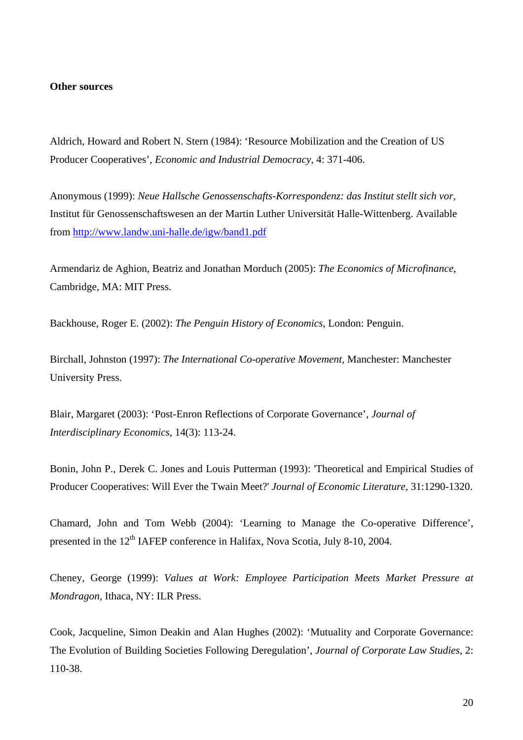#### **Other sources**

Aldrich, Howard and Robert N. Stern (1984): 'Resource Mobilization and the Creation of US Producer Cooperatives', *Economic and Industrial Democracy*, 4: 371-406.

Anonymous (1999): *Neue Hallsche Genossenschafts-Korrespondenz: das Institut stellt sich vor*, Institut für Genossenschaftswesen an der Martin Luther Universität Halle-Wittenberg. Available from http://www.landw.uni-halle.de/igw/band1.pdf

Armendariz de Aghion, Beatriz and Jonathan Morduch (2005): *The Economics of Microfinance*, Cambridge, MA: MIT Press.

Backhouse, Roger E. (2002): *The Penguin History of Economics*, London: Penguin.

Birchall, Johnston (1997): *The International Co-operative Movement,* Manchester: Manchester University Press.

Blair, Margaret (2003): 'Post-Enron Reflections of Corporate Governance', *Journal of Interdisciplinary Economics*, 14(3): 113-24.

Bonin, John P., Derek C. Jones and Louis Putterman (1993): 'Theoretical and Empirical Studies of Producer Cooperatives: Will Ever the Twain Meet?' *Journal of Economic Literature,* 31:1290-1320.

Chamard, John and Tom Webb (2004): 'Learning to Manage the Co-operative Difference', presented in the 12<sup>th</sup> IAFEP conference in Halifax, Nova Scotia, July 8-10, 2004.

Cheney, George (1999): *Values at Work: Employee Participation Meets Market Pressure at Mondragon*, Ithaca, NY: ILR Press.

Cook, Jacqueline, Simon Deakin and Alan Hughes (2002): 'Mutuality and Corporate Governance: The Evolution of Building Societies Following Deregulation', *Journal of Corporate Law Studies*, 2: 110-38.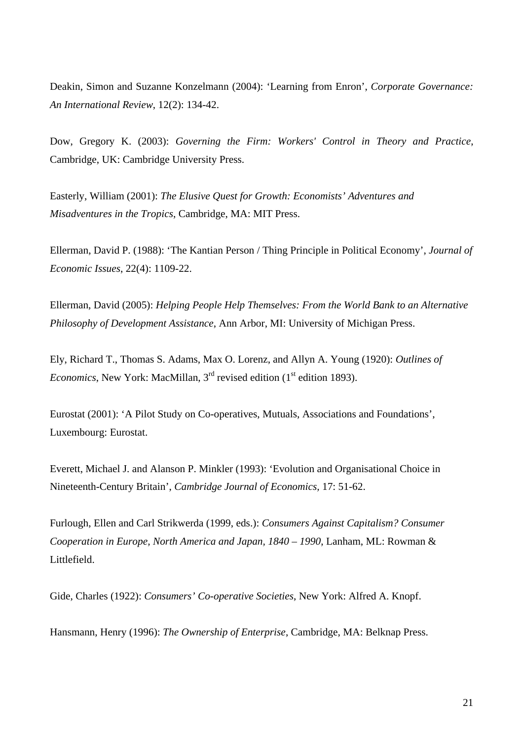Deakin, Simon and Suzanne Konzelmann (2004): 'Learning from Enron', *Corporate Governance: An International Review*, 12(2): 134-42.

Dow, Gregory K. (2003): *Governing the Firm: Workers' Control in Theory and Practice*, Cambridge, UK: Cambridge University Press.

Easterly, William (2001): *The Elusive Quest for Growth: Economists' Adventures and Misadventures in the Tropics*, Cambridge, MA: MIT Press.

Ellerman, David P. (1988): 'The Kantian Person / Thing Principle in Political Economy', *Journal of Economic Issues*, 22(4): 1109-22.

Ellerman, David (2005): *Helping People Help Themselves: From the World Bank to an Alternative Philosophy of Development Assistance*, Ann Arbor, MI: University of Michigan Press.

Ely, Richard T., Thomas S. Adams, Max O. Lorenz, and Allyn A. Young (1920): *Outlines of Economics*, New York: MacMillan,  $3<sup>rd</sup>$  revised edition ( $1<sup>st</sup>$  edition 1893).

Eurostat (2001): 'A Pilot Study on Co-operatives, Mutuals, Associations and Foundations', Luxembourg: Eurostat.

Everett, Michael J. and Alanson P. Minkler (1993): 'Evolution and Organisational Choice in Nineteenth-Century Britain', *Cambridge Journal of Economics,* 17: 51-62.

Furlough, Ellen and Carl Strikwerda (1999, eds.): *Consumers Against Capitalism? Consumer Cooperation in Europe, North America and Japan, 1840 – 1990*, Lanham, ML: Rowman & Littlefield.

Gide, Charles (1922): *Consumers' Co-operative Societies*, New York: Alfred A. Knopf.

Hansmann, Henry (1996): *The Ownership of Enterprise*, Cambridge, MA: Belknap Press.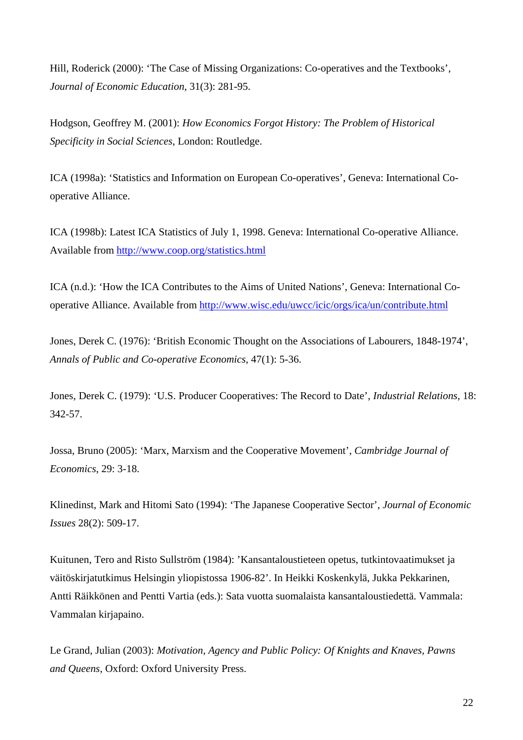Hill, Roderick (2000): 'The Case of Missing Organizations: Co-operatives and the Textbooks', *Journal of Economic Education*, 31(3): 281-95.

Hodgson, Geoffrey M. (2001): *How Economics Forgot History: The Problem of Historical Specificity in Social Sciences*, London: Routledge.

ICA (1998a): 'Statistics and Information on European Co-operatives', Geneva: International Cooperative Alliance.

ICA (1998b): Latest ICA Statistics of July 1, 1998. Geneva: International Co-operative Alliance. Available from http://www.coop.org/statistics.html

ICA (n.d.): 'How the ICA Contributes to the Aims of United Nations', Geneva: International Cooperative Alliance. Available from http://www.wisc.edu/uwcc/icic/orgs/ica/un/contribute.html

Jones, Derek C. (1976): 'British Economic Thought on the Associations of Labourers, 1848-1974', *Annals of Public and Co-operative Economics,* 47(1): 5-36.

Jones, Derek C. (1979): 'U.S. Producer Cooperatives: The Record to Date', *Industrial Relations*, 18: 342-57.

Jossa, Bruno (2005): 'Marx, Marxism and the Cooperative Movement', *Cambridge Journal of Economics*, 29: 3-18.

Klinedinst, Mark and Hitomi Sato (1994): 'The Japanese Cooperative Sector', *Journal of Economic Issues* 28(2): 509-17.

Kuitunen, Tero and Risto Sullström (1984): 'Kansantaloustieteen opetus, tutkintovaatimukset ja väitöskirjatutkimus Helsingin yliopistossa 1906-82'. In Heikki Koskenkylä, Jukka Pekkarinen, Antti Räikkönen and Pentti Vartia (eds.): Sata vuotta suomalaista kansantaloustiedettä. Vammala: Vammalan kirjapaino.

Le Grand, Julian (2003): *Motivation, Agency and Public Policy: Of Knights and Knaves, Pawns and Queens*, Oxford: Oxford University Press.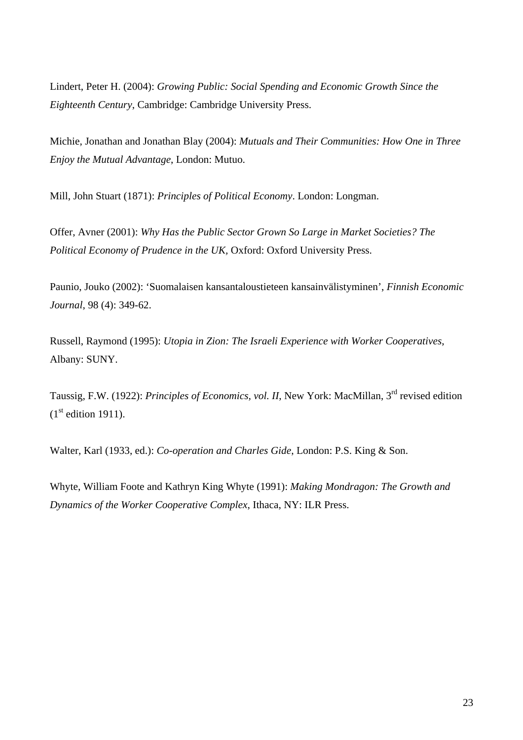Lindert, Peter H. (2004): *Growing Public: Social Spending and Economic Growth Since the Eighteenth Century*, Cambridge: Cambridge University Press.

Michie, Jonathan and Jonathan Blay (2004): *Mutuals and Their Communities: How One in Three Enjoy the Mutual Advantage*, London: Mutuo.

Mill, John Stuart (1871): *Principles of Political Economy*. London: Longman.

Offer, Avner (2001): *Why Has the Public Sector Grown So Large in Market Societies? The Political Economy of Prudence in the UK,* Oxford: Oxford University Press.

Paunio, Jouko (2002): 'Suomalaisen kansantaloustieteen kansainvälistyminen', *Finnish Economic Journal*, 98 (4): 349-62.

Russell, Raymond (1995): *Utopia in Zion: The Israeli Experience with Worker Cooperatives*, Albany: SUNY.

Taussig, F.W. (1922): *Principles of Economics, vol. II*, New York: MacMillan, 3rd revised edition  $(1<sup>st</sup>$  edition 1911).

Walter, Karl (1933, ed.): *Co-operation and Charles Gide*, London: P.S. King & Son.

Whyte, William Foote and Kathryn King Whyte (1991): *Making Mondragon: The Growth and Dynamics of the Worker Cooperative Complex*, Ithaca, NY: ILR Press.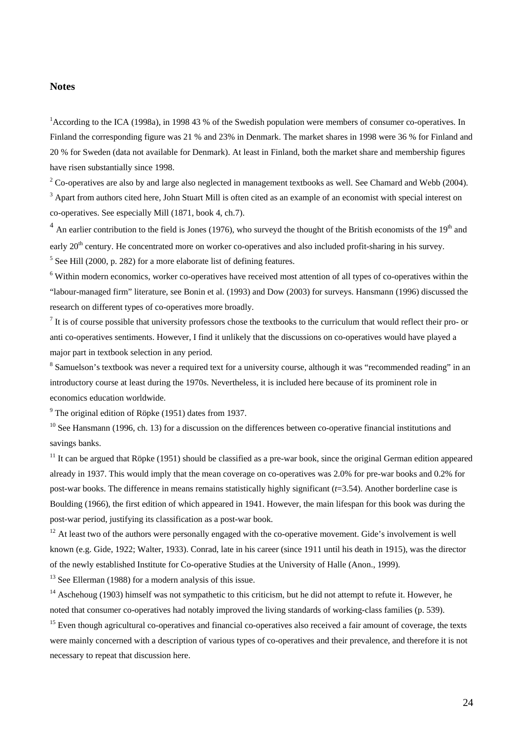#### **Notes**

<sup>1</sup> According to the ICA (1998a), in 1998 43 % of the Swedish population were members of consumer co-operatives. In Finland the corresponding figure was 21 % and 23% in Denmark. The market shares in 1998 were 36 % for Finland and 20 % for Sweden (data not available for Denmark). At least in Finland, both the market share and membership figures have risen substantially since 1998.

 $2^2$  Co-operatives are also by and large also neglected in management textbooks as well. See Chamard and Webb (2004).

 $3$  Apart from authors cited here, John Stuart Mill is often cited as an example of an economist with special interest on co-operatives. See especially Mill (1871, book 4, ch.7).

 $4$  An earlier contribution to the field is Jones (1976), who surveyd the thought of the British economists of the 19<sup>th</sup> and early 20<sup>th</sup> century. He concentrated more on worker co-operatives and also included profit-sharing in his survey.

 $<sup>5</sup>$  See Hill (2000, p. 282) for a more elaborate list of defining features.</sup>

<sup>6</sup> Within modern economics, worker co-operatives have received most attention of all types of co-operatives within the "labour-managed firm" literature, see Bonin et al. (1993) and Dow (2003) for surveys. Hansmann (1996) discussed the research on different types of co-operatives more broadly.

 $<sup>7</sup>$  It is of course possible that university professors chose the textbooks to the curriculum that would reflect their pro- or</sup> anti co-operatives sentiments. However, I find it unlikely that the discussions on co-operatives would have played a major part in textbook selection in any period.

 $8$  Samuelson's textbook was never a required text for a university course, although it was "recommended reading" in an introductory course at least during the 1970s. Nevertheless, it is included here because of its prominent role in economics education worldwide.

 $9^9$  The original edition of Röpke (1951) dates from 1937.

 $10$  See Hansmann (1996, ch. 13) for a discussion on the differences between co-operative financial institutions and savings banks.

 $11$  It can be argued that Röpke (1951) should be classified as a pre-war book, since the original German edition appeared already in 1937. This would imply that the mean coverage on co-operatives was 2.0% for pre-war books and 0.2% for post-war books. The difference in means remains statistically highly significant (*t*=3.54). Another borderline case is Boulding (1966), the first edition of which appeared in 1941. However, the main lifespan for this book was during the post-war period, justifying its classification as a post-war book.

 $12$  At least two of the authors were personally engaged with the co-operative movement. Gide's involvement is well known (e.g. Gide, 1922; Walter, 1933). Conrad, late in his career (since 1911 until his death in 1915), was the director of the newly established Institute for Co-operative Studies at the University of Halle (Anon., 1999).

<sup>13</sup> See Ellerman (1988) for a modern analysis of this issue.

<sup>14</sup> Aschehoug (1903) himself was not sympathetic to this criticism, but he did not attempt to refute it. However, he noted that consumer co-operatives had notably improved the living standards of working-class families (p. 539).

<sup>15</sup> Even though agricultural co-operatives and financial co-operatives also received a fair amount of coverage, the texts were mainly concerned with a description of various types of co-operatives and their prevalence, and therefore it is not necessary to repeat that discussion here.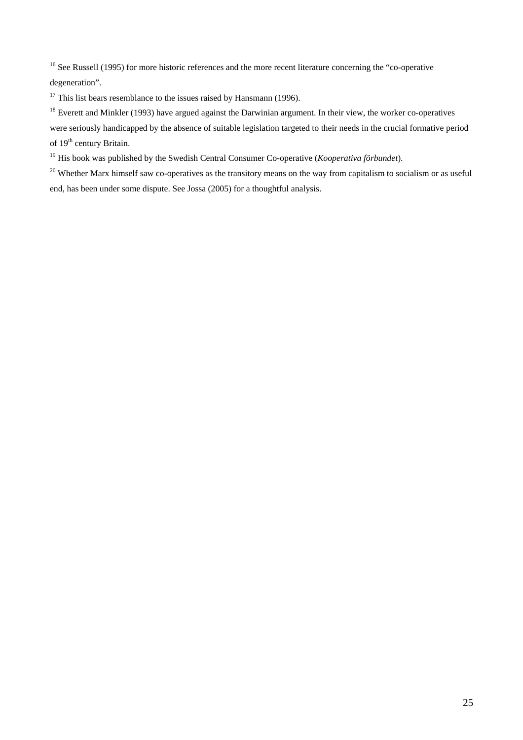<sup>16</sup> See Russell (1995) for more historic references and the more recent literature concerning the "co-operative" degeneration".

 $17$  This list bears resemblance to the issues raised by Hansmann (1996).

<sup>18</sup> Everett and Minkler (1993) have argued against the Darwinian argument. In their view, the worker co-operatives

were seriously handicapped by the absence of suitable legislation targeted to their needs in the crucial formative period of 19<sup>th</sup> century Britain.

19 His book was published by the Swedish Central Consumer Co-operative (*Kooperativa förbundet*).

 $20$  Whether Marx himself saw co-operatives as the transitory means on the way from capitalism to socialism or as useful end, has been under some dispute. See Jossa (2005) for a thoughtful analysis.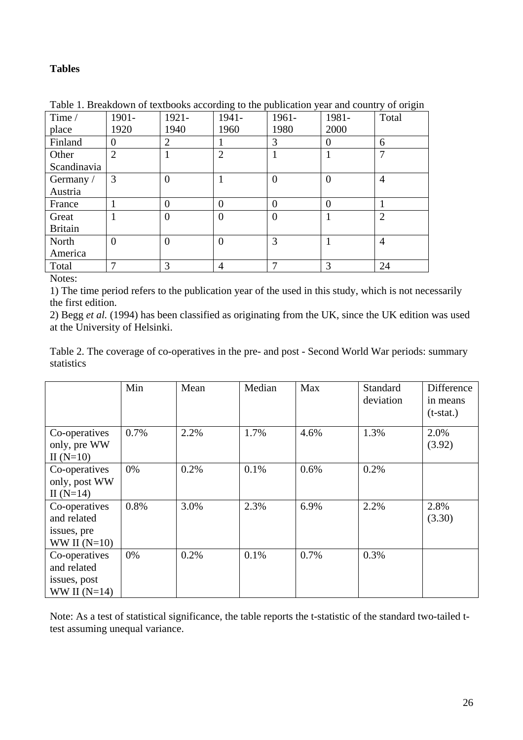### **Tables**

| Time /         | 1901-          | 1921-          | 1941-          | 1961-          | 1981-          | Total          |
|----------------|----------------|----------------|----------------|----------------|----------------|----------------|
| place          | 1920           | 1940           | 1960           | 1980           | 2000           |                |
| Finland        | $\Omega$       | 2              |                | 3              | $\Omega$       | 6              |
| Other          | $\overline{2}$ |                | $\overline{2}$ |                |                | 7              |
| Scandinavia    |                |                |                |                |                |                |
| Germany /      | 3              | $\overline{0}$ |                | $\overline{0}$ | $\Omega$       | $\overline{4}$ |
| Austria        |                |                |                |                |                |                |
| France         |                | $\overline{0}$ | $\overline{0}$ | $\overline{0}$ | $\overline{0}$ |                |
| Great          |                | $\overline{0}$ | $\overline{0}$ | $\overline{0}$ |                | $\overline{2}$ |
| <b>Britain</b> |                |                |                |                |                |                |
| North          | $\theta$       | $\theta$       | $\overline{0}$ | 3              |                | $\overline{4}$ |
| America        |                |                |                |                |                |                |
| Total          | 7              | 3              | $\overline{4}$ | ⇁              | 3              | 24             |

Table 1. Breakdown of textbooks according to the publication year and country of origin

Notes:

1) The time period refers to the publication year of the used in this study, which is not necessarily the first edition.

2) Begg *et al.* (1994) has been classified as originating from the UK, since the UK edition was used at the University of Helsinki.

Table 2. The coverage of co-operatives in the pre- and post - Second World War periods: summary statistics

|                                                                | Min  | Mean | Median | Max  | <b>Standard</b><br>deviation | Difference<br>in means<br>$(t-stat.)$ |
|----------------------------------------------------------------|------|------|--------|------|------------------------------|---------------------------------------|
| Co-operatives<br>only, pre WW<br>II $(N=10)$                   | 0.7% | 2.2% | 1.7%   | 4.6% | 1.3%                         | 2.0%<br>(3.92)                        |
| Co-operatives<br>only, post WW<br>II $(N=14)$                  | 0%   | 0.2% | 0.1%   | 0.6% | 0.2%                         |                                       |
| Co-operatives<br>and related<br>issues, pre<br>WW II $(N=10)$  | 0.8% | 3.0% | 2.3%   | 6.9% | 2.2%                         | 2.8%<br>(3.30)                        |
| Co-operatives<br>and related<br>issues, post<br>WW II $(N=14)$ | 0%   | 0.2% | 0.1%   | 0.7% | 0.3%                         |                                       |

Note: As a test of statistical significance, the table reports the t-statistic of the standard two-tailed ttest assuming unequal variance.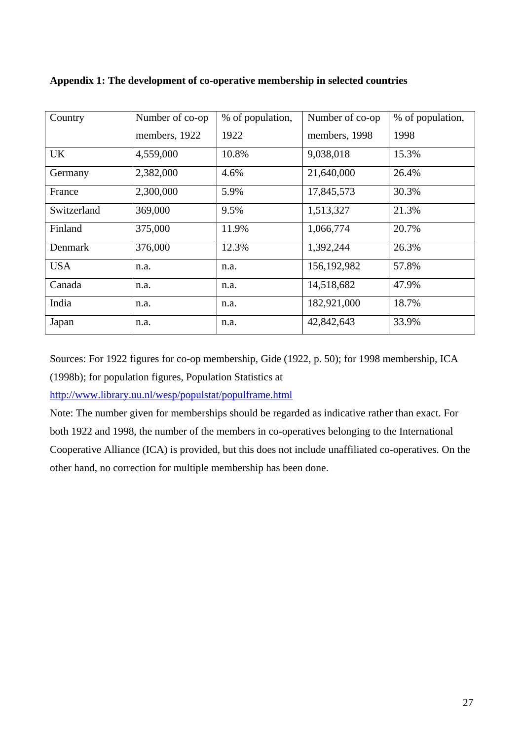| Country     | Number of co-op | % of population, | Number of co-op | % of population, |
|-------------|-----------------|------------------|-----------------|------------------|
|             | members, 1922   | 1922             | members, 1998   | 1998             |
| UK          | 4,559,000       | 10.8%            | 9,038,018       | 15.3%            |
| Germany     | 2,382,000       | 4.6%             | 21,640,000      | 26.4%            |
| France      | 2,300,000       | 5.9%             | 17,845,573      | 30.3%            |
| Switzerland | 369,000         | 9.5%             | 1,513,327       | 21.3%            |
| Finland     | 375,000         | 11.9%            | 1,066,774       | 20.7%            |
| Denmark     | 376,000         | 12.3%            | 1,392,244       | 26.3%            |
| <b>USA</b>  | n.a.            | n.a.             | 156,192,982     | 57.8%            |
| Canada      | n.a.            | n.a.             | 14,518,682      | 47.9%            |
| India       | n.a.            | n.a.             | 182,921,000     | 18.7%            |
| Japan       | n.a.            | n.a.             | 42,842,643      | 33.9%            |

**Appendix 1: The development of co-operative membership in selected countries** 

Sources: For 1922 figures for co-op membership, Gide (1922, p. 50); for 1998 membership, ICA (1998b); for population figures, Population Statistics at

http://www.library.uu.nl/wesp/populstat/populframe.html

Note: The number given for memberships should be regarded as indicative rather than exact. For both 1922 and 1998, the number of the members in co-operatives belonging to the International Cooperative Alliance (ICA) is provided, but this does not include unaffiliated co-operatives. On the other hand, no correction for multiple membership has been done.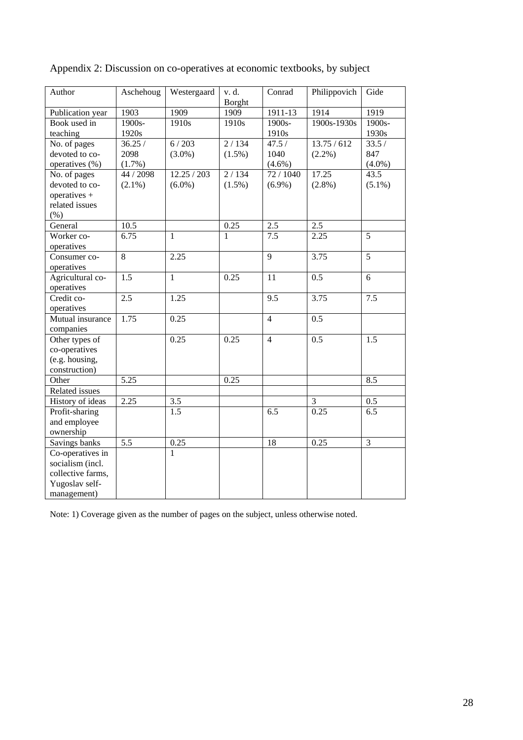| Author            | Aschehoug        | Westergaard  | Conrad<br>v. d.<br><b>Borght</b> |                | Philippovich     | Gide              |
|-------------------|------------------|--------------|----------------------------------|----------------|------------------|-------------------|
| Publication year  | 1903             | 1909         | 1909                             | 1911-13        | 1914             | 1919              |
| Book used in      | $1900s -$        | 1910s        | 1910 <sub>s</sub>                | 1900s-         | 1900s-1930s      | $1900s -$         |
| teaching          | 1920s            |              |                                  | 1910s          |                  | 1930s             |
| No. of pages      | 36.25/           | 6/203        | 2/134                            | 47.5/          | 13.75/612        | 33.5/             |
| devoted to co-    | 2098             | $(3.0\%)$    | $(1.5\%)$                        | 1040           | $(2.2\%)$        | 847               |
| operatives (%)    | (1.7%)           |              |                                  | $(4.6\%)$      |                  | $(4.0\%)$         |
| No. of pages      | 44 / 2098        | 12.25 / 203  | 2/134                            | 72 / 1040      | 17.25            | $43.\overline{5}$ |
| devoted to co-    | $(2.1\%)$        | $(6.0\%)$    | $(1.5\%)$                        | $(6.9\%)$      | $(2.8\%)$        | $(5.1\%)$         |
| operatives +      |                  |              |                                  |                |                  |                   |
| related issues    |                  |              |                                  |                |                  |                   |
| (% )              |                  |              |                                  |                |                  |                   |
| General           | 10.5             |              | 0.25                             | 2.5            | 2.5              |                   |
| Worker co-        | 6.75             | 1            | 1                                | 7.5            | 2.25             | 5                 |
| operatives        |                  |              |                                  |                |                  |                   |
| Consumer co-      | 8                | 2.25         |                                  | 9              | 3.75             | 5                 |
| operatives        |                  |              |                                  |                |                  |                   |
| Agricultural co-  | 1.5              | $\mathbf{1}$ | 0.25                             | 11             | 0.5              | 6                 |
| operatives        |                  |              |                                  |                |                  |                   |
| Credit co-        | $\overline{2.5}$ | 1.25         |                                  | 9.5            | 3.75             | 7.5               |
| operatives        |                  |              |                                  |                |                  |                   |
| Mutual insurance  | 1.75             | 0.25         |                                  | $\overline{4}$ | 0.5              |                   |
| companies         |                  |              |                                  |                |                  |                   |
| Other types of    |                  | 0.25         | 0.25                             | $\overline{4}$ | $\overline{0.5}$ | 1.5               |
| co-operatives     |                  |              |                                  |                |                  |                   |
| (e.g. housing,    |                  |              |                                  |                |                  |                   |
| construction)     |                  |              |                                  |                |                  |                   |
| Other             | 5.25             |              | 0.25                             |                |                  | 8.5               |
| Related issues    |                  |              |                                  |                |                  |                   |
| History of ideas  | 2.25             | $3.5$        |                                  |                | 3                | 0.5               |
| Profit-sharing    |                  | 1.5          |                                  | 6.5            | 0.25             | $\overline{6.5}$  |
| and employee      |                  |              |                                  |                |                  |                   |
| ownership         |                  |              |                                  |                |                  |                   |
| Savings banks     | 5.5              | 0.25         |                                  | 18             | 0.25             | 3                 |
| Co-operatives in  |                  | 1            |                                  |                |                  |                   |
| socialism (incl.  |                  |              |                                  |                |                  |                   |
| collective farms, |                  |              |                                  |                |                  |                   |
| Yugoslav self-    |                  |              |                                  |                |                  |                   |
| management)       |                  |              |                                  |                |                  |                   |

Appendix 2: Discussion on co-operatives at economic textbooks, by subject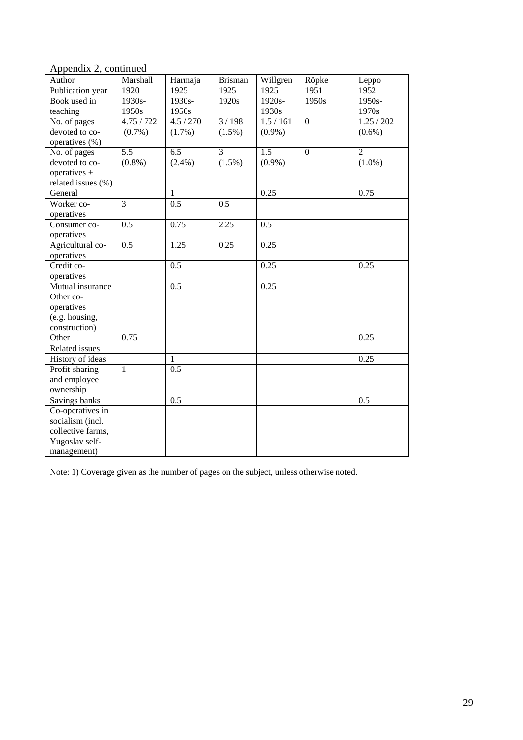Appendix 2, continued

| Author             | Marshall         | Harmaja              | <b>Brisman</b> | Willgren               | Röpke            | Leppo          |
|--------------------|------------------|----------------------|----------------|------------------------|------------------|----------------|
| Publication year   | 1920             | 1925                 | 1925           | 1925                   | 1951             | 1952           |
| Book used in       | 1930s-           | 1930s-               | 1920s          | 1920s-                 | 1950s            | 1950s-         |
| teaching           | 1950s            | 1950s                |                | 1930s                  |                  | 1970s          |
| No. of pages       | 4.75/722         | $\overline{4.5}/270$ | 3/198          | $\overline{1.5}$ / 161 | $\boldsymbol{0}$ | 1.25/202       |
| devoted to co-     | $(0.7\%)$        | $(1.7\%)$            | $(1.5\%)$      | $(0.9\%)$              |                  | $(0.6\%)$      |
| operatives (%)     |                  |                      |                |                        |                  |                |
| No. of pages       | 5.5              | 6.5                  | 3              | 1.5                    | $\mathbf{0}$     | $\overline{2}$ |
| devoted to co-     | $(0.8\%)$        | $(2.4\%)$            | $(1.5\%)$      | $(0.9\%)$              |                  | $(1.0\%)$      |
| operatives +       |                  |                      |                |                        |                  |                |
| related issues (%) |                  |                      |                |                        |                  |                |
| General            |                  | 1                    |                | 0.25                   |                  | 0.75           |
| Worker co-         | $\overline{3}$   | 0.5                  | 0.5            |                        |                  |                |
| operatives         |                  |                      |                |                        |                  |                |
| Consumer co-       | 0.5              | 0.75                 | 2.25           | 0.5                    |                  |                |
| operatives         |                  |                      |                |                        |                  |                |
| Agricultural co-   | $\overline{0.5}$ | 1.25                 | 0.25           | 0.25                   |                  |                |
| operatives         |                  |                      |                |                        |                  |                |
| Credit co-         |                  | 0.5                  |                | 0.25                   |                  | 0.25           |
| operatives         |                  |                      |                |                        |                  |                |
| Mutual insurance   |                  | 0.5                  |                | 0.25                   |                  |                |
| Other co-          |                  |                      |                |                        |                  |                |
| operatives         |                  |                      |                |                        |                  |                |
| (e.g. housing,     |                  |                      |                |                        |                  |                |
| construction)      |                  |                      |                |                        |                  |                |
| Other              | 0.75             |                      |                |                        |                  | 0.25           |
| Related issues     |                  |                      |                |                        |                  |                |
| History of ideas   |                  | 1                    |                |                        |                  | 0.25           |
| Profit-sharing     | $\mathbf{1}$     | $\overline{0.5}$     |                |                        |                  |                |
| and employee       |                  |                      |                |                        |                  |                |
| ownership          |                  |                      |                |                        |                  |                |
| Savings banks      |                  | 0.5                  |                |                        |                  | 0.5            |
| Co-operatives in   |                  |                      |                |                        |                  |                |
| socialism (incl.   |                  |                      |                |                        |                  |                |
| collective farms,  |                  |                      |                |                        |                  |                |
| Yugoslav self-     |                  |                      |                |                        |                  |                |
| management)        |                  |                      |                |                        |                  |                |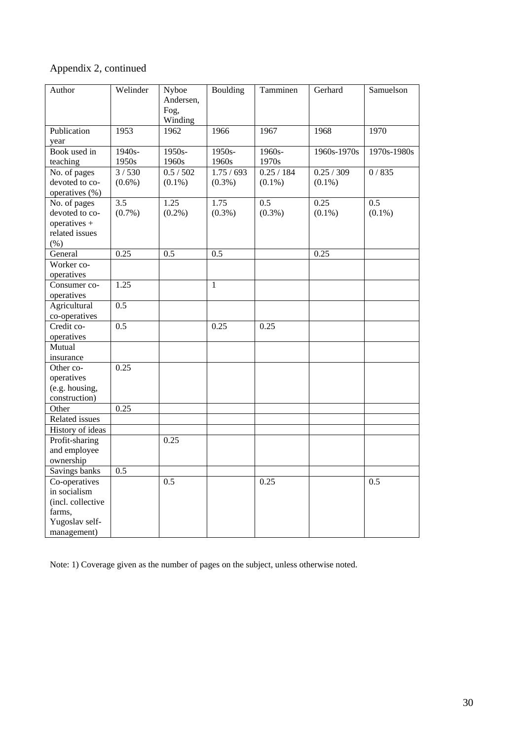|  |  | Appendix 2, continued |
|--|--|-----------------------|
|--|--|-----------------------|

| Author                | Welinder         | Nyboe<br>Andersen, | Boulding     | Tamminen         | Gerhard     | Samuelson        |
|-----------------------|------------------|--------------------|--------------|------------------|-------------|------------------|
|                       |                  | Fog,               |              |                  |             |                  |
|                       |                  | Winding            |              |                  |             |                  |
| Publication           | 1953             | 1962               | 1966         | 1967             | 1968        | 1970             |
| year                  |                  |                    |              |                  |             |                  |
| Book used in          | 1940s-           | 1950s-             | 1950s-       | 1960s-           | 1960s-1970s | 1970s-1980s      |
| teaching              | 1950s            | 1960s              | 1960s        | 1970s            |             |                  |
| No. of pages          | 3/530            | 0.5 / 502          | 1.75/693     | 0.25 / 184       | 0.25 / 309  | 0/835            |
| devoted to co-        | $(0.6\%)$        | $(0.1\%)$          | $(0.3\%)$    | $(0.1\%)$        | $(0.1\%)$   |                  |
| operatives (%)        |                  |                    |              |                  |             |                  |
| No. of pages          | $\overline{3.5}$ | 1.25               | 1.75         | $\overline{0.5}$ | 0.25        | $\overline{0.5}$ |
| devoted to co-        | $(0.7\%)$        | $(0.2\%)$          | $(0.3\%)$    | $(0.3\%)$        | $(0.1\%)$   | $(0.1\%)$        |
| operatives +          |                  |                    |              |                  |             |                  |
| related issues        |                  |                    |              |                  |             |                  |
| (% )                  |                  |                    |              |                  |             |                  |
| General<br>Worker co- | 0.25             | 0.5                | 0.5          |                  | 0.25        |                  |
| operatives            |                  |                    |              |                  |             |                  |
| Consumer co-          | 1.25             |                    | $\mathbf{1}$ |                  |             |                  |
| operatives            |                  |                    |              |                  |             |                  |
| Agricultural          | $\overline{0.5}$ |                    |              |                  |             |                  |
| co-operatives         |                  |                    |              |                  |             |                  |
| Credit co-            | 0.5              |                    | 0.25         | 0.25             |             |                  |
| operatives            |                  |                    |              |                  |             |                  |
| Mutual                |                  |                    |              |                  |             |                  |
| insurance             |                  |                    |              |                  |             |                  |
| Other co-             | 0.25             |                    |              |                  |             |                  |
| operatives            |                  |                    |              |                  |             |                  |
| (e.g. housing,        |                  |                    |              |                  |             |                  |
| construction)         |                  |                    |              |                  |             |                  |
| Other                 | 0.25             |                    |              |                  |             |                  |
| Related issues        |                  |                    |              |                  |             |                  |
| History of ideas      |                  |                    |              |                  |             |                  |
| Profit-sharing        |                  | 0.25               |              |                  |             |                  |
| and employee          |                  |                    |              |                  |             |                  |
| ownership             |                  |                    |              |                  |             |                  |
| Savings banks         | 0.5              |                    |              |                  |             |                  |
| Co-operatives         |                  | 0.5                |              | 0.25             |             | 0.5              |
| in socialism          |                  |                    |              |                  |             |                  |
| (incl. collective     |                  |                    |              |                  |             |                  |
| farms,                |                  |                    |              |                  |             |                  |
| Yugoslav self-        |                  |                    |              |                  |             |                  |
| management)           |                  |                    |              |                  |             |                  |